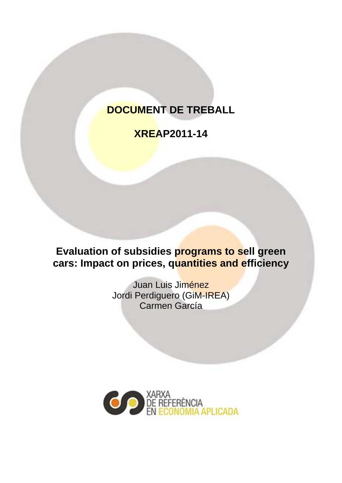# **DOCUMENT DE TREBALL**

# **XREAP2011-14**

**Evaluation of subsidies programs to sell green cars: Impact on prices, quantities and efficiency** 

> Juan Luis Jiménez Jordi Perdiguero (GiM-IREA) Carmen García

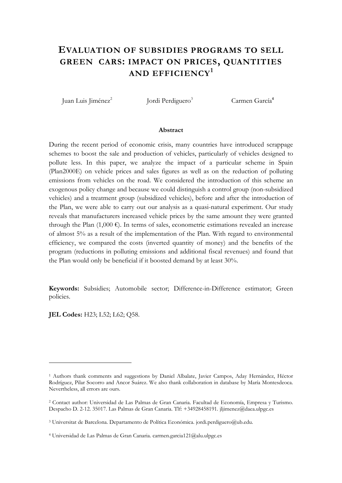# **EVALUATION OF SUBSIDIES PROGRAMS TO SELL GREEN CARS: IMPACT ON PRICES, QUANTITIES AND EFFICIENCY<sup>1</sup>**

Juan Luis Jiménez<sup>2</sup>

Jordi Perdiguero<sup>3</sup>

Carmen García**<sup>4</sup>**

#### **Abstract**

During the recent period of economic crisis, many countries have introduced scrappage schemes to boost the sale and production of vehicles, particularly of vehicles designed to pollute less. In this paper, we analyze the impact of a particular scheme in Spain (Plan2000E) on vehicle prices and sales figures as well as on the reduction of polluting emissions from vehicles on the road. We considered the introduction of this scheme an exogenous policy change and because we could distinguish a control group (non-subsidized vehicles) and a treatment group (subsidized vehicles), before and after the introduction of the Plan, we were able to carry out our analysis as a quasi-natural experiment. Our study reveals that manufacturers increased vehicle prices by the same amount they were granted through the Plan  $(1,000 \epsilon)$ . In terms of sales, econometric estimations revealed an increase of almost 5% as a result of the implementation of the Plan. With regard to environmental efficiency, we compared the costs (inverted quantity of money) and the benefits of the program (reductions in polluting emissions and additional fiscal revenues) and found that the Plan would only be beneficial if it boosted demand by at least 30%.

**Keywords:** Subsidies; Automobile sector; Difference-in-Difference estimator; Green policies.

**JEL Codes:** H23; L52; L62; Q58.

<u>.</u>

<sup>1</sup> Authors thank comments and suggestions by Daniel Albalate, Javier Campos, Aday Hernández, Héctor Rodríguez, Pilar Socorro and Ancor Suárez. We also thank collaboration in database by María Montesdeoca. Nevertheless, all errors are ours.

<sup>2</sup> Contact author: Universidad de Las Palmas de Gran Canaria. Facultad de Economía, Empresa y Turismo. Despacho D. 2-12. 35017. Las Palmas de Gran Canaria. Tlf: +34928458191. jljimenez@daea.ulpgc.es

<sup>&</sup>lt;sup>3</sup> Universitat de Barcelona. Departamento de Política Económica. jordi.perdiguero@ub.edu.

<sup>4</sup> Universidad de Las Palmas de Gran Canaria. carmen.garcia121@alu.ulpgc.es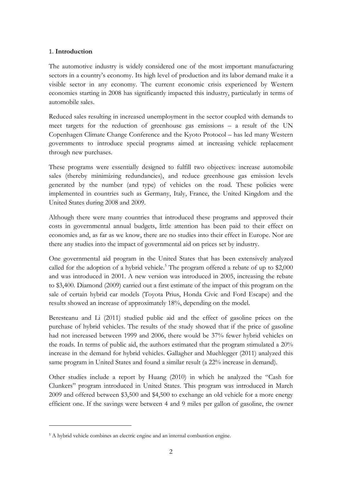# 1. **Introduction**

The automotive industry is widely considered one of the most important manufacturing sectors in a country's economy. Its high level of production and its labor demand make it a visible sector in any economy. The current economic crisis experienced by Western economies starting in 2008 has significantly impacted this industry, particularly in terms of automobile sales.

Reduced sales resulting in increased unemployment in the sector coupled with demands to meet targets for the reduction of greenhouse gas emissions – a result of the UN Copenhagen Climate Change Conference and the Kyoto Protocol – has led many Western governments to introduce special programs aimed at increasing vehicle replacement through new purchases.

These programs were essentially designed to fulfill two objectives: increase automobile sales (thereby minimizing redundancies), and reduce greenhouse gas emission levels generated by the number (and type) of vehicles on the road. These policies were implemented in countries such as Germany, Italy, France, the United Kingdom and the United States during 2008 and 2009.

Although there were many countries that introduced these programs and approved their costs in governmental annual budgets, little attention has been paid to their effect on economies and, as far as we know, there are no studies into their effect in Europe. Nor are there any studies into the impact of governmental aid on prices set by industry.

One governmental aid program in the United States that has been extensively analyzed called for the adoption of a hybrid vehicle.<sup>5</sup> The program offered a rebate of up to  $$2,000$ and was introduced in 2001. A new version was introduced in 2005, increasing the rebate to \$3,400. Diamond (2009) carried out a first estimate of the impact of this program on the sale of certain hybrid car models (Toyota Prius, Honda Civic and Ford Escape) and the results showed an increase of approximately 18%, depending on the model.

Beresteanu and Li (2011) studied public aid and the effect of gasoline prices on the purchase of hybrid vehicles. The results of the study showed that if the price of gasoline had not increased between 1999 and 2006, there would be 37% fewer hybrid vehicles on the roads. In terms of public aid, the authors estimated that the program stimulated a 20% increase in the demand for hybrid vehicles. Gallagher and Muehlegger (2011) analyzed this same program in United States and found a similar result (a 22% increase in demand).

Other studies include a report by Huang (2010) in which he analyzed the "Cash for Clunkers" program introduced in United States. This program was introduced in March 2009 and offered between \$3,500 and \$4,500 to exchange an old vehicle for a more energy efficient one. If the savings were between 4 and 9 miles per gallon of gasoline, the owner

<u>.</u>

<sup>&</sup>lt;sup>5</sup> A hybrid vehicle combines an electric engine and an internal combustion engine.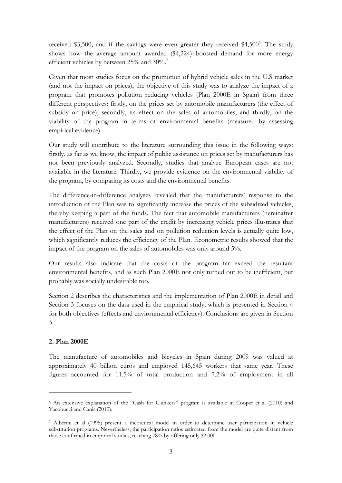received \$3,500, and if the savings were even greater they received \$4,500°. The study shows how the average amount awarded (\$4,224) boosted demand for more energy efficient vehicles by between 25% and 30%.<sup>7</sup>

Given that most studies focus on the promotion of hybrid vehicle sales in the U.S market (and not the impact on prices), the objective of this study was to analyze the impact of a program that promotes pollution reducing vehicles (Plan 2000E in Spain) from three different perspectives: firstly, on the prices set by automobile manufacturers (the effect of subsidy on price); secondly, its effect on the sales of automobiles, and thirdly, on the viability of the program in terms of environmental benefits (measured by assessing empirical evidence).

Our study will contribute to the literature surrounding this issue in the following ways: firstly, as far as we know, the impact of public assistance on prices set by manufacturers has not been previously analyzed. Secondly, studies that analyze European cases are not available in the literature. Thirdly, we provide evidence on the environmental viability of the program, by comparing its costs and the environmental benefits.

The difference-in-difference analyses revealed that the manufacturers' response to the introduction of the Plan was to significantly increase the prices of the subsidized vehicles, thereby keeping a part of the funds. The fact that automobile manufacturers (hereinafter manufacturers) received one part of the credit by increasing vehicle prices illustrates that the effect of the Plan on the sales and on pollution reduction levels is actually quite low, which significantly reduces the efficiency of the Plan. Econometric results showed that the impact of the program on the sales of automobiles was only around 5%.

Our results also indicate that the costs of the program far exceed the resultant environmental benefits, and as such Plan 2000E not only turned out to be inefficient, but probably was socially undesirable too.

Section 2 describes the characteristics and the implementation of Plan 2000E in detail and Section 3 focuses on the data used in the empirical study, which is presented in Section 4 for both objectives (effects and environmental efficiency). Conclusions are given in Section 5.

# **2. Plan 2000E**

<u>.</u>

The manufacture of automobiles and bicycles in Spain during 2009 was valued at approximately 40 billion euros and employed 145,645 workers that same year. These figures accounted for 11.5% of total production and 7.2% of employment in all

<sup>6</sup> An extensive explanation of the "Cash for Clunkers" program is available in Cooper et al (2010) and Yacobucci and Canis (2010).

<sup>7</sup> Alberini et al (1995) present a theoretical model in order to determine user participation in vehicle substitution programs. Nevertheless, the participation ratios estimated from the model are quite distant from those confirmed in empirical studies, reaching 78% by offering only \$2,000.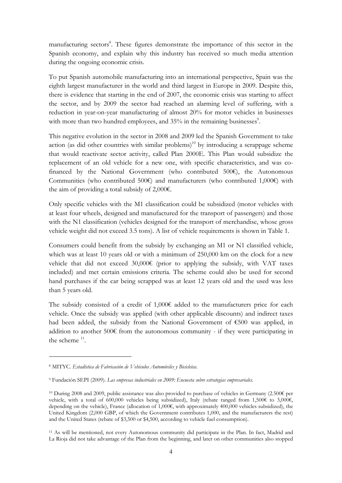manufacturing sectors<sup>8</sup>. These figures demonstrate the importance of this sector in the Spanish economy, and explain why this industry has received so much media attention during the ongoing economic crisis.

To put Spanish automobile manufacturing into an international perspective, Spain was the eighth largest manufacturer in the world and third largest in Europe in 2009. Despite this, there is evidence that starting in the end of 2007, the economic crisis was starting to affect the sector, and by 2009 the sector had reached an alarming level of suffering, with a reduction in year-on-year manufacturing of almost 20% for motor vehicles in businesses with more than two hundred employees, and  $35%$  in the remaining businesses $\degree$ .

This negative evolution in the sector in 2008 and 2009 led the Spanish Government to take action (as did other countries with similar problems)<sup>10</sup> by introducing a scrappage scheme that would reactivate sector activity, called Plan 2000E. This Plan would subsidize the replacement of an old vehicle for a new one, with specific characteristics, and was cofinanced by the National Government (who contributed  $500 $\epsilon$$ Communities (who contributed 500€) and manufacturers (who contributed 1,000€) with the aim of providing a total subsidy of 2,000€.

Only specific vehicles with the M1 classification could be subsidized (motor vehicles with at least four wheels, designed and manufactured for the transport of passengers) and those with the N1 classification (vehicles designed for the transport of merchandise, whose gross vehicle weight did not exceed 3.5 tons). A list of vehicle requirements is shown in Table 1.

Consumers could benefit from the subsidy by exchanging an M1 or N1 classified vehicle, which was at least 10 years old or with a minimum of 250,000 km on the clock for a new vehicle that did not exceed 30,000€ (prior to applying the subsidy, with VAT taxes included) and met certain emissions criteria. The scheme could also be used for second hand purchases if the car being scrapped was at least 12 years old and the used was less than 5 years old.

The subsidy consisted of a credit of 1,000€ added to the manufacturers price for each vehicle. Once the subsidy was applied (with other applicable discounts) and indirect taxes had been added, the subsidy from the National Government of €500 was applied, in addition to another  $500\epsilon$  from the autonomous community - if they were participating in the scheme  $11$ .

<u>.</u>

<sup>8</sup> MITYC. *Estadística de Fabricación de Vehículos Automóviles y Bicicletas*.

<sup>9</sup> Fundación SEPI (2009). *Las empresas industriales en 2009: Encuesta sobre estrategias empresariales.*

<sup>&</sup>lt;sup>10</sup> During 2008 and 2009, public assistance was also provided to purchase of vehicles in Germany (2.500€ per vehicle, with a total of 600,000 vehicles being subsidized), Italy (rebate ranged from 1,500€ to 3,000€, depending on the vehicle), France (allocation of 1,000€, with approximately 400,000 vehicles subsidized), the United Kingdom (2,000 GBP, of which the Government contributes 1,000, and the manufacturers the rest) and the United States (rebate of \$3,500 or \$4,500, according to vehicle fuel consumption).

<sup>&</sup>lt;sup>11</sup> As will be mentioned, not every Autonomous community did participate in the Plan. In fact, Madrid and La Rioja did not take advantage of the Plan from the beginning, and later on other communities also stopped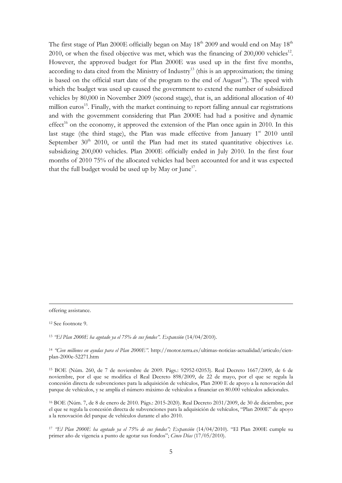The first stage of Plan 2000E officially began on May  $18<sup>th</sup>$  2009 and would end on May  $18<sup>th</sup>$ 2010, or when the fixed objective was met, which was the financing of  $200,000$  vehicles<sup>12</sup>. However, the approved budget for Plan 2000E was used up in the first five months, according to data cited from the Ministry of Industry<sup>13</sup> (this is an approximation; the timing is based on the official start date of the program to the end of August<sup>14</sup>). The speed with which the budget was used up caused the government to extend the number of subsidized vehicles by 80,000 in November 2009 (second stage), that is, an additional allocation of 40 million euros<sup>15</sup>. Finally, with the market continuing to report falling annual car registrations and with the government considering that Plan 2000E had had a positive and dynamic  $effect<sup>16</sup>$  on the economy, it approved the extension of the Plan once again in 2010. In this last stage (the third stage), the Plan was made effective from January  $1<sup>st</sup>$  2010 until September  $30<sup>th</sup>$  2010, or until the Plan had met its stated quantitative objectives i.e. subsidizing 200,000 vehicles. Plan 2000E officially ended in July 2010. In the first four months of 2010 75% of the allocated vehicles had been accounted for and it was expected that the full budget would be used up by May or  $\text{June}^{17}$ .

offering assistance.

12 See footnote 9.

<sup>13</sup> *"El Plan 2000E ha agotado ya el 75% de sus fondos". Expansión* (14/04/2010).

<sup>14</sup> *"Cien millones en ayudas para el Plan 2000E".* http://motor.terra.es/ultimas-noticias-actualidad/articulo/cienplan-2000e-52271.htm

15 BOE (Núm. 260, de 7 de noviembre de 2009. Págs.: 92952-02053). Real Decreto 1667/2009, de 6 de noviembre, por el que se modifica el Real Decreto 898/2009, de 22 de mayo, por el que se regula la concesión directa de subvenciones para la adquisición de vehículos, Plan 2000 E de apoyo a la renovación del parque de vehículos, y se amplía el número máximo de vehículos a financiar en 80.000 vehículos adicionales.

16 BOE (Núm. 7, de 8 de enero de 2010. Págs.: 2015-2020). Real Decreto 2031/2009, de 30 de diciembre, por el que se regula la concesión directa de subvenciones para la adquisición de vehículos, "Plan 2000E" de apoyo a la renovación del parque de vehículos durante el año 2010.

<sup>17</sup> *"El Plan 2000E ha agotado ya el 75% de sus fondos"; Expansión* (14/04/2010). "El Plan 2000E cumple su primer año de vigencia a punto de agotar sus fondos"; *Cinco Días* (17/05/2010).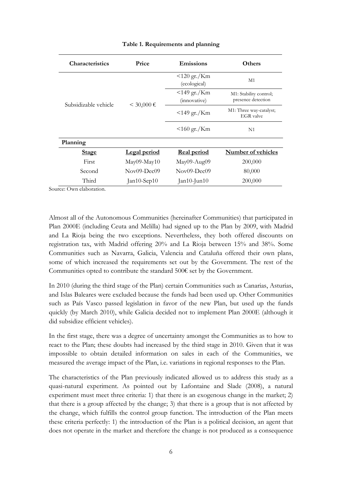| <b>Characteristics</b>              | Price         | Emissions                                   | <b>Others</b>                                |  |
|-------------------------------------|---------------|---------------------------------------------|----------------------------------------------|--|
|                                     |               | $120 \text{ gr.}/\text{Km}$<br>(ecological) | M1                                           |  |
| Subsidizable vehicle                | $<$ 30,000 €  | $<$ 149 gr./Km<br>(innovative)              | M1: Stability control;<br>presence detection |  |
|                                     |               | $<$ 149 gr./Km                              | M1: Three way-catalyst;<br><b>EGR</b> valve  |  |
|                                     |               | $<$ 160 gr./Km                              | N1                                           |  |
| Planning                            |               |                                             |                                              |  |
| <b>Stage</b>                        | Legal period  | Real period                                 | <b>Number of vehicles</b>                    |  |
| First                               | $May09-May10$ | May09-Aug09                                 | 200,000                                      |  |
| Second                              | Nov09-Dec09   | Nov09-Dec09                                 | 80,000                                       |  |
| Third<br>$\bigcap_{i=1}^n$ 11 $i^*$ | $Jan10-Sep10$ | $Jan10$ -Jun $10$                           | 200,000                                      |  |

# **Table 1. Requirements and planning**

Source: Own elaboration.

Almost all of the Autonomous Communities (hereinafter Communities) that participated in Plan 2000E (including Ceuta and Melilla) had signed up to the Plan by 2009, with Madrid and La Rioja being the two exceptions. Nevertheless, they both offered discounts on registration tax, with Madrid offering 20% and La Rioja between 15% and 38%. Some Communities such as Navarra, Galicia, Valencia and Cataluña offered their own plans, some of which increased the requirements set out by the Government. The rest of the Communities opted to contribute the standard 500€ set by the Government.

In 2010 (during the third stage of the Plan) certain Communities such as Canarias, Asturias, and Islas Baleares were excluded because the funds had been used up. Other Communities such as País Vasco passed legislation in favor of the new Plan, but used up the funds quickly (by March 2010), while Galicia decided not to implement Plan 2000E (although it did subsidize efficient vehicles).

In the first stage, there was a degree of uncertainty amongst the Communities as to how to react to the Plan; these doubts had increased by the third stage in 2010. Given that it was impossible to obtain detailed information on sales in each of the Communities, we measured the average impact of the Plan, i.e. variations in regional responses to the Plan.

The characteristics of the Plan previously indicated allowed us to address this study as a quasi-natural experiment. As pointed out by Lafontaine and Slade (2008), a natural experiment must meet three criteria: 1) that there is an exogenous change in the market; 2) that there is a group affected by the change; 3) that there is a group that is not affected by the change, which fulfills the control group function. The introduction of the Plan meets these criteria perfectly: 1) the introduction of the Plan is a political decision, an agent that does not operate in the market and therefore the change is not produced as a consequence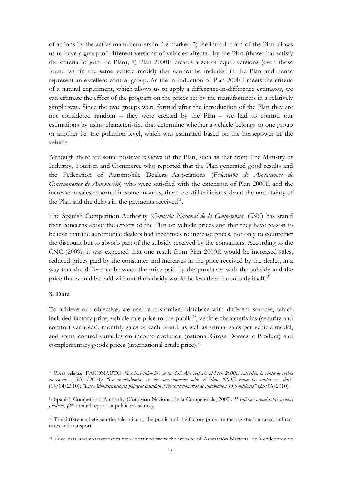of actions by the active manufacturers in the market; 2) the introduction of the Plan allows us to have a group of different versions of vehicles affected by the Plan (those that satisfy the criteria to join the Plan); 3) Plan 2000E creates a set of equal versions (even those found within the same vehicle model) that cannot be included in the Plan and hence represent an excellent control group. As the introduction of Plan 2000E meets the criteria of a natural experiment, which allows us to apply a difference-in-difference estimator, we can estimate the effect of the program on the prices set by the manufacturers in a relatively simple way. Since the two groups were formed after the introduction of the Plan they are not considered random – they were created by the Plan – we had to control our estimations by using characteristics that determine whether a vehicle belongs to one group or another i.e. the pollution level, which was estimated based on the horsepower of the vehicle.

Although there are some positive reviews of the Plan, such as that from The Ministry of Industry, Tourism and Commerce who reported that the Plan generated good results and the Federation of Automobile Dealers Associations (*Federación de Asociaciones de Concesionarios de Automoción*) who were satisfied with the extension of Plan 2000E and the increase in sales reported in some months, there are still criticisms about the uncertainty of the Plan and the delays in the payments received<sup>18</sup>.

The Spanish Competition Authority (*Comisión Nacional de la Competencia, CNC*) has stated their concerns about the effects of the Plan on vehicle prices and that they have reason to believe that the automobile dealers had incentives to increase prices, not only to counteract the discount but to absorb part of the subsidy received by the consumers. According to the CNC (2009), it was expected that one result from Plan 2000E would be increased sales, reduced prices paid by the consumer and increases in the price received by the dealer, in a way that the difference between the price paid by the purchaser with the subsidy and the price that would be paid without the subsidy would be less than the subsidy itself.<sup>19</sup>

# **3. Data**

<u>.</u>

To achieve our objective, we used a customized database with different sources, which included factory price, vehicle sale price to the public<sup>20</sup>, vehicle characteristics (security and comfort variables), monthly sales of each brand, as well as annual sales per vehicle model, and some control variables on income evolution (national Gross Domestic Product) and complementary goods prices (international crude price). $^{21}$ 

<sup>18</sup> Press release- FACONAUTO: *"La incertidumbre en las CC.AA respecto al Plan 2000E ralentiza la venta de coches en enero"* (15/01/2010); *"La incertidumbre en los concesionarios sobre el Plan 2000E frena las ventas en abril"* (16/04/2010); *"Las Administraciones públicas adeudan a los concesionarios de automoción 13,9 millones"* (23/06/2010).

<sup>19</sup> Spanish Competition Authority (Comisión Nacional de la Competencia, 2009). *II Informe anual sobre ayudas públicas. (*2nd annual report on public assistance*).*

<sup>&</sup>lt;sup>20</sup> The difference between the sale price to the public and the factory price are the registration taxes, indirect taxes and transport.

<sup>21</sup> Price data and characteristics were obtained from the website of Asociación Nacional de Vendedores de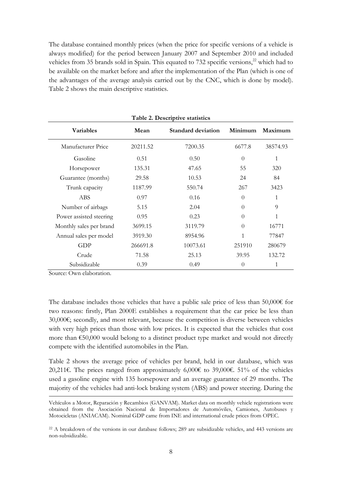The database contained monthly prices (when the price for specific versions of a vehicle is always modified) for the period between January 2007 and September 2010 and included vehicles from 35 brands sold in Spain. This equated to 732 specific versions,<sup>22</sup> which had to be available on the market before and after the implementation of the Plan (which is one of the advantages of the average analysis carried out by the CNC, which is done by model). Table 2 shows the main descriptive statistics.

| Table 2. Descriptive statistics |          |                           |          |              |  |  |  |  |  |
|---------------------------------|----------|---------------------------|----------|--------------|--|--|--|--|--|
| <b>Variables</b>                | Mean     | <b>Standard deviation</b> | Minimum  | Maximum      |  |  |  |  |  |
| Manufacturer Price              | 20211.52 | 7200.35                   | 6677.8   | 38574.93     |  |  |  |  |  |
| Gasoline                        | 0.51     | 0.50                      | $\theta$ | $\mathbf{1}$ |  |  |  |  |  |
| Horsepower                      | 135.31   | 47.65                     | 55       | 320          |  |  |  |  |  |
| Guarantee (months)              | 29.58    | 10.53                     | 24       | 84           |  |  |  |  |  |
| Trunk capacity                  | 1187.99  | 550.74                    | 267      | 3423         |  |  |  |  |  |
| <b>ABS</b>                      | 0.97     | 0.16                      | $\Omega$ | 1            |  |  |  |  |  |
| Number of airbags               | 5.15     | 2.04                      | $\theta$ | 9            |  |  |  |  |  |
| Power assisted steering         | 0.95     | 0.23                      | $\theta$ | 1            |  |  |  |  |  |
| Monthly sales per brand         | 3699.15  | 3119.79                   | $\Omega$ | 16771        |  |  |  |  |  |
| Annual sales per model          | 3919.30  | 8954.96                   | 1        | 77847        |  |  |  |  |  |
| GDP                             | 266691.8 | 10073.61                  | 251910   | 280679       |  |  |  |  |  |
| Crude                           | 71.58    | 25.13                     | 39.95    | 132.72       |  |  |  |  |  |
| Subsidizable                    | 0.39     | 0.49                      | $\theta$ | 1            |  |  |  |  |  |

**Table 2. Descriptive statistics**

Source: Own elaboration.

The database includes those vehicles that have a public sale price of less than 50,000 $\epsilon$  for two reasons: firstly, Plan 2000E establishes a requirement that the car price be less than 30,000€; secondly, and most relevant, because the competition is diverse between vehicles with very high prices than those with low prices. It is expected that the vehicles that cost more than  $\epsilon$ 50,000 would belong to a distinct product type market and would not directly compete with the identified automobiles in the Plan.

Table 2 shows the average price of vehicles per brand, held in our database, which was 20,211€. The prices ranged from approximately 6,000€ to 39,000€. 51% of the vehicles used a gasoline engine with 135 horsepower and an average guarantee of 29 months. The majority of the vehicles had anti-lock braking system (ABS) and power steering. During the

Vehículos a Motor, Reparación y Recambios (GANVAM). Market data on monthly vehicle registrations were obtained from the Asociación Nacional de Importadores de Automóviles, Camiones, Autobuses y Motocicletas (ANIACAM). Nominal GDP came from INE and international crude prices from OPEC.

<sup>22</sup> A breakdown of the versions in our database follows; 289 are subsidizable vehicles, and 443 versions are non-subsidizable.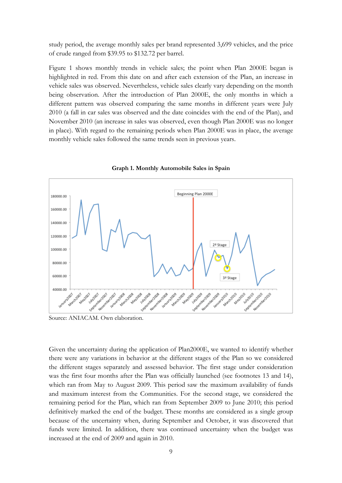study period, the average monthly sales per brand represented 3,699 vehicles, and the price of crude ranged from \$39.95 to \$132.72 per barrel.

Figure 1 shows monthly trends in vehicle sales; the point when Plan 2000E began is highlighted in red. From this date on and after each extension of the Plan, an increase in vehicle sales was observed. Nevertheless, vehicle sales clearly vary depending on the month being observation. After the introduction of Plan 2000E, the only months in which a different pattern was observed comparing the same months in different years were July 2010 (a fall in car sales was observed and the date coincides with the end of the Plan), and November 2010 (an increase in sales was observed, even though Plan 2000E was no longer in place). With regard to the remaining periods when Plan 2000E was in place, the average monthly vehicle sales followed the same trends seen in previous years.



**Graph 1. Monthly Automobile Sales in Spain**

Source: ANIACAM. Own elaboration.

Given the uncertainty during the application of Plan2000E, we wanted to identify whether there were any variations in behavior at the different stages of the Plan so we considered the different stages separately and assessed behavior. The first stage under consideration was the first four months after the Plan was officially launched (see footnotes 13 and 14), which ran from May to August 2009. This period saw the maximum availability of funds and maximum interest from the Communities. For the second stage, we considered the remaining period for the Plan, which ran from September 2009 to June 2010; this period definitively marked the end of the budget. These months are considered as a single group because of the uncertainty when, during September and October, it was discovered that funds were limited. In addition, there was continued uncertainty when the budget was increased at the end of 2009 and again in 2010.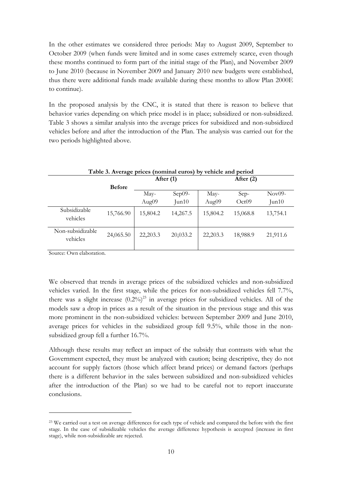In the other estimates we considered three periods: May to August 2009, September to October 2009 (when funds were limited and in some cases extremely scarce, even though these months continued to form part of the initial stage of the Plan), and November 2009 to June 2010 (because in November 2009 and January 2010 new budgets were established, thus there were additional funds made available during these months to allow Plan 2000E to continue).

In the proposed analysis by the CNC, it is stated that there is reason to believe that behavior varies depending on which price model is in place; subsidized or non-subsidized. Table 3 shows a similar analysis into the average prices for subsidized and non-subsidized vehicles before and after the introduction of the Plan. The analysis was carried out for the two periods highlighted above.

| Table 3. Average prices (nominal euros) by vehicle and period |               |           |             |           |          |          |  |
|---------------------------------------------------------------|---------------|-----------|-------------|-----------|----------|----------|--|
|                                                               |               |           | After $(1)$ |           |          |          |  |
|                                                               | <b>Before</b> |           |             |           |          |          |  |
|                                                               |               | May-      | $Sep09-$    | May-      | Sep-     | $Nov09-$ |  |
|                                                               |               | Aug09     | Jun10       | Aug09     | Oct09    | Jun10    |  |
| Subsidizable<br>vehicles                                      | 15,766.90     | 15,804.2  | 14,267.5    | 15,804.2  | 15,068.8 | 13,754.1 |  |
| Non-subsidizable<br>vehicles                                  | 24,065.50     | 22, 203.3 | 20,033.2    | 22, 203.3 | 18,988.9 | 21,911.6 |  |

Source: Own elaboration.

<u>.</u>

We observed that trends in average prices of the subsidized vehicles and non-subsidized vehicles varied. In the first stage, while the prices for non-subsidized vehicles fell 7.7%, there was a slight increase  $(0.2\%)^{23}$  in average prices for subsidized vehicles. All of the models saw a drop in prices as a result of the situation in the previous stage and this was more prominent in the non-subsidized vehicles: between September 2009 and June 2010, average prices for vehicles in the subsidized group fell 9.5%, while those in the nonsubsidized group fell a further 16.7%.

Although these results may reflect an impact of the subsidy that contrasts with what the Government expected, they must be analyzed with caution; being descriptive, they do not account for supply factors (those which affect brand prices) or demand factors (perhaps there is a different behavior in the sales between subsidized and non-subsidized vehicles after the introduction of the Plan) so we had to be careful not to report inaccurate conclusions.

<sup>&</sup>lt;sup>23</sup> We carried out a test on average differences for each type of vehicle and compared the before with the first stage. In the case of subsidizable vehicles the average difference hypothesis is accepted (increase in first stage), while non-subsidizable are rejected.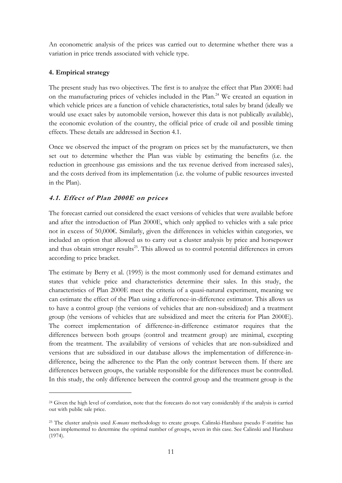An econometric analysis of the prices was carried out to determine whether there was a variation in price trends associated with vehicle type.

# **4. Empirical strategy**

<u>.</u>

The present study has two objectives. The first is to analyze the effect that Plan 2000E had on the manufacturing prices of vehicles included in the Plan.<sup>24</sup> We created an equation in which vehicle prices are a function of vehicle characteristics, total sales by brand (ideally we would use exact sales by automobile version, however this data is not publically available), the economic evolution of the country, the official price of crude oil and possible timing effects. These details are addressed in Section 4.1.

Once we observed the impact of the program on prices set by the manufacturers, we then set out to determine whether the Plan was viable by estimating the benefits (i.e. the reduction in greenhouse gas emissions and the tax revenue derived from increased sales), and the costs derived from its implementation (i.e. the volume of public resources invested in the Plan).

# **4.1. Effect of Plan 2000E on prices**

The forecast carried out considered the exact versions of vehicles that were available before and after the introduction of Plan 2000E, which only applied to vehicles with a sale price not in excess of 50,000€. Similarly, given the differences in vehicles within categories, we included an option that allowed us to carry out a cluster analysis by price and horsepower and thus obtain stronger results<sup>25</sup>. This allowed us to control potential differences in errors according to price bracket.

The estimate by Berry et al. (1995) is the most commonly used for demand estimates and states that vehicle price and characteristics determine their sales. In this study, the characteristics of Plan 2000E meet the criteria of a quasi-natural experiment, meaning we can estimate the effect of the Plan using a difference-in-difference estimator. This allows us to have a control group (the versions of vehicles that are non-subsidized) and a treatment group (the versions of vehicles that are subsidized and meet the criteria for Plan 2000E). The correct implementation of difference-in-difference estimator requires that the differences between both groups (control and treatment group) are minimal, excepting from the treatment. The availability of versions of vehicles that are non-subsidized and versions that are subsidized in our database allows the implementation of difference-indifference, being the adherence to the Plan the only contrast between them. If there are differences between groups, the variable responsible for the differences must be controlled. In this study, the only difference between the control group and the treatment group is the

<sup>&</sup>lt;sup>24</sup> Given the high level of correlation, note that the forecasts do not vary considerably if the analysis is carried out with public sale price.

<sup>25</sup> The cluster analysis used *K-means* methodology to create groups. Calinski-Harabasz pseudo F-statitisc has been implemented to determine the optimal number of groups, seven in this case. See Calinski and Harabasz (1974).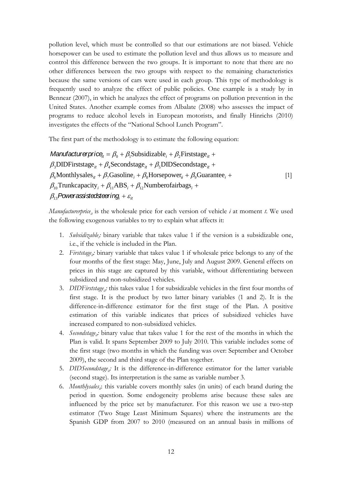pollution level, which must be controlled so that our estimations are not biased. Vehicle horsepower can be used to estimate the pollution level and thus allows us to measure and control this difference between the two groups. It is important to note that there are no other differences between the two groups with respect to the remaining characteristics because the same versions of cars were used in each group. This type of methodology is frequently used to analyze the effect of public policies. One example is a study by in Bennear (2007), in which he analyzes the effect of programs on pollution prevention in the United States. Another example comes from Albalate (2008) who assesses the impact of programs to reduce alcohol levels in European motorists, and finally Hinrichs (2010) investigates the effects of the "National School Lunch Program".

The first part of the methodology is to estimate the following equation:

*Manufacturerprice*<sub> $i = \beta_0 + \beta_1$ Subsidizable<sub>i</sub> +  $\beta_2$ Firststage<sub>it</sub> +</sub>  $\beta_3$ DIDFirststage<sub>it</sub></sub> +  $\beta_4$ Secondstage<sub>it</sub> +  $\beta_5$ DIDSecondstage<sub>it</sub> +  $\beta_6$ Monthlysales<sub>*it*</sub> +  $\beta_7$ Gasoline<sub>*i*</sub> +  $\beta_8$ Horsepower<sub>*ii*</sub> +  $\beta_9$ Guarantee<sub>*i*</sub> +  $\beta_{10}$ Trunkcapacity<sub>i</sub> +  $\beta_{11}$ ABS<sub>i</sub> +  $\beta_{12}$ Numberofairbags<sub>i</sub> +  $\beta_{13}$ Powerassistedsteering<sub>i</sub> +  $\varepsilon_{it}$ [1]

*Manufacturerprice<sub>it</sub>* is the wholesale price for each version of vehicle *i* at moment *t*. We used the following exogenous variables to try to explain what affects it:

- 1. Subsidizable<sub>i</sub> binary variable that takes value 1 if the version is a subsidizable one, i.e., if the vehicle is included in the Plan.
- 2. *Firststage<sub>i</sub>*: binary variable that takes value 1 if wholesale price belongs to any of the four months of the first stage: May, June, July and August 2009. General effects on prices in this stage are captured by this variable, without differentiating between subsidized and non-subsidized vehicles.
- 3. *DIDFirststage<sub>ir</sub>*: this takes value 1 for subsidizable vehicles in the first four months of first stage. It is the product by two latter binary variables (1 and 2). It is the difference-in-difference estimator for the first stage of the Plan. A positive estimation of this variable indicates that prices of subsidized vehicles have increased compared to non-subsidized vehicles.
- 4. *Secondstage<sub>it</sub>*: binary value that takes value 1 for the rest of the months in which the Plan is valid. It spans September 2009 to July 2010. This variable includes some of the first stage (two months in which the funding was over: September and October 2009), the second and third stage of the Plan together.
- 5. *DIDSecondstage<sub>it</sub>*: It is the difference-in-difference estimator for the latter variable (second stage). Its interpretation is the same as variable number 3.
- 6. *Monthlysales<sub>it</sub>*: this variable covers monthly sales (in units) of each brand during the period in question. Some endogeneity problems arise because these sales are influenced by the price set by manufacturer. For this reason we use a two-step estimator (Two Stage Least Minimum Squares) where the instruments are the Spanish GDP from 2007 to 2010 (measured on an annual basis in millions of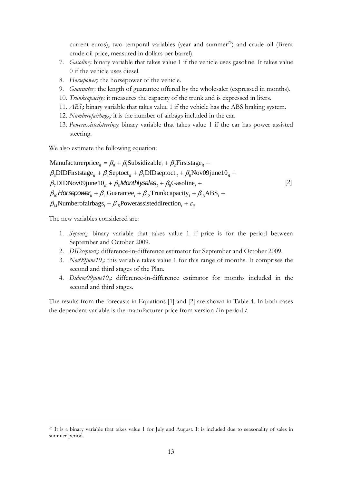current euros), two temporal variables (year and summer*<sup>26</sup>*) and crude oil (Brent crude oil price, measured in dollars per barrel).

- 7. *Gasoline*; binary variable that takes value 1 if the vehicle uses gasoline. It takes value 0 if the vehicle uses diesel.
- 8. *Horsepower*; the horsepower of the vehicle.
- 9. *Guarantee*; the length of guarantee offered by the wholesaler (expressed in months).
- 10. *Trunkcapacity*; it measures the capacity of the trunk and is expressed in liters.
- 11. *ABS*; binary variable that takes value 1 if the vehicle has the ABS braking system.
- 12. *Numberofairbags<sub>i</sub>*: it is the number of airbags included in the car.
- 13. *Powerassistedsteeringi :* binary variable that takes value 1 if the car has power assisted steering.

We also estimate the following equation:

Manufacturerprice<sub>it</sub> =  $\beta_0 + \beta_1$ Subsidizable<sub>i</sub> +  $\beta_2$ Firststage<sub>it</sub> +  $\beta_3$ DIDFirststage<sub>it</sub></sub> +  $\beta_4$ Septoct<sub>it</sub> +  $\beta_5$ DIDseptoct<sub>it</sub> +  $\beta_6$ Nov09june10<sub>it</sub> +  $\beta_7$ DIDNov09june10<sub>*it*</sub> +  $\beta_8$ Monthlysales<sub>it</sub> +  $\beta_9$ Gasoline<sub>i</sub> +  $\beta_{10}$  Horsepower<sub>ii</sub> +  $\beta_{11}$ Guarantee<sub>i</sub> +  $\beta_{12}$ Trunkcapacity<sub>i</sub> +  $\beta_{13}$ ABS<sub>i</sub> +  $\beta_{14}$ Numberofairbags<sub>i</sub> +  $\beta_{15}$ Powerassisteddirection<sub>i</sub> +  $\varepsilon_{it}$ [2]

The new variables considered are:

<u>.</u>

- 1. *Septoct<sub>ic</sub>*: binary variable that takes value 1 if price is for the period between September and October 2009.
- 2. *DIDseptoct<sub>it</sub>*: difference-in-difference estimator for September and October 2009.
- 3. *Nov09june10<sub>ii</sub>*: this variable takes value 1 for this range of months. It comprises the second and third stages of the Plan.
- 4. *Didnov09june10<sub>i</sub>*: difference-in-difference estimator for months included in the second and third stages.

The results from the forecasts in Equations [1] and [2] are shown in Table 4. In both cases the dependent variable is the manufacturer price from version *i* in period *t*.

<sup>&</sup>lt;sup>26</sup> It is a binary variable that takes value 1 for July and August. It is included due to seasonality of sales in summer period.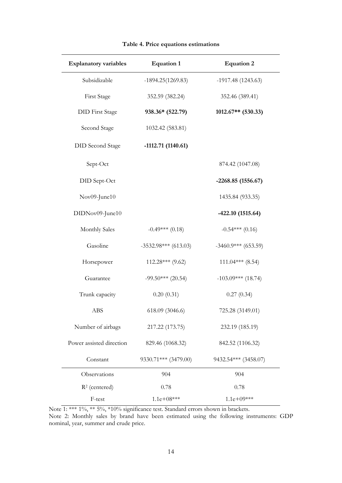| <b>Explanatory variables</b> | <b>Equation 1</b>      | <b>Equation 2</b>     |
|------------------------------|------------------------|-----------------------|
| Subsidizable                 | $-1894.25(1269.83)$    | $-1917.48(1243.63)$   |
| First Stage                  | 352.59 (382.24)        | 352.46 (389.41)       |
| <b>DID</b> First Stage       | 938.36* (522.79)       | $1012.67**$ (530.33)  |
| Second Stage                 | 1032.42 (583.81)       |                       |
| <b>DID</b> Second Stage      | $-1112.71(1140.61)$    |                       |
| Sept-Oct                     |                        | 874.42 (1047.08)      |
| DID Sept-Oct                 |                        | $-2268.85(1556.67)$   |
| Nov09-June10                 |                        | 1435.84 (933.35)      |
| DIDNov09-June10              |                        | $-422.10(1515.64)$    |
| <b>Monthly Sales</b>         | $-0.49***$ (0.18)      | $-0.54***(0.16)$      |
| Gasoline                     | $-3532.98***$ (613.03) | $-3460.9***$ (653.59) |
| Horsepower                   | 112.28*** (9.62)       | $111.04***$ (8.54)    |
| Guarantee                    | $-99.50***$ (20.54)    | $-103.09***$ (18.74)  |
| Trunk capacity               | 0.20(0.31)             | 0.27(0.34)            |
| ABS                          | 618.09 (3046.6)        | 725.28 (3149.01)      |
| Number of airbags            | 217.22 (173.75)        | 232.19 (185.19)       |
| Power assisted direction     | 829.46 (1068.32)       | 842.52 (1106.32)      |
| Constant                     | 9330.71*** (3479.00)   | 9432.54*** (3458.07)  |
| Observations                 | 904                    | 904                   |
| $R2$ (centered)              | 0.78                   | 0.78                  |
| F-test                       | $1.1e+08***$           | $1.1e+09***$          |

# **Table 4. Price equations estimations**

Note 1: \*\*\* 1%, \*\* 5%, \*10% significance test. Standard errors shown in brackets. Note 2: Monthly sales by brand have been estimated using the following instruments: GDP nominal, year, summer and crude price.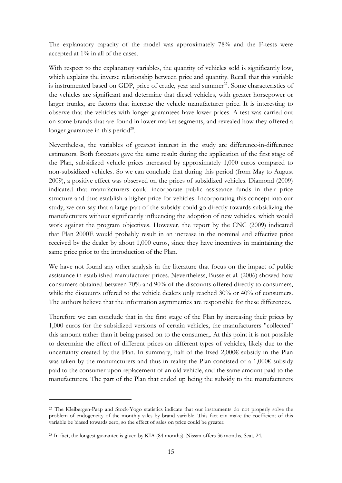The explanatory capacity of the model was approximately 78% and the F-tests were accepted at 1% in all of the cases.

With respect to the explanatory variables, the quantity of vehicles sold is significantly low, which explains the inverse relationship between price and quantity. Recall that this variable is instrumented based on GDP, price of crude, year and summer $^{27}$ . Some characteristics of the vehicles are significant and determine that diesel vehicles, with greater horsepower or larger trunks, are factors that increase the vehicle manufacturer price. It is interesting to observe that the vehicles with longer guarantees have lower prices. A test was carried out on some brands that are found in lower market segments, and revealed how they offered a longer guarantee in this period<sup>28</sup>.

Nevertheless, the variables of greatest interest in the study are difference-in-difference estimators. Both forecasts gave the same result: during the application of the first stage of the Plan, subsidized vehicle prices increased by approximately 1,000 euros compared to non-subsidized vehicles. So we can conclude that during this period (from May to August 2009), a positive effect was observed on the prices of subsidized vehicles. Diamond (2009) indicated that manufacturers could incorporate public assistance funds in their price structure and thus establish a higher price for vehicles. Incorporating this concept into our study, we can say that a large part of the subsidy could go directly towards subsidizing the manufacturers without significantly influencing the adoption of new vehicles, which would work against the program objectives. However, the report by the CNC (2009) indicated that Plan 2000E would probably result in an increase in the nominal and effective price received by the dealer by about 1,000 euros, since they have incentives in maintaining the same price prior to the introduction of the Plan.

We have not found any other analysis in the literature that focus on the impact of public assistance in established manufacturer prices. Nevertheless, Busse et al. (2006) showed how consumers obtained between 70% and 90% of the discounts offered directly to consumers, while the discounts offered to the vehicle dealers only reached 30% or 40% of consumers. The authors believe that the information asymmetries are responsible for these differences.

Therefore we can conclude that in the first stage of the Plan by increasing their prices by 1,000 euros for the subsidized versions of certain vehicles, the manufacturers "collected" this amount rather than it being passed on to the consumer,. At this point it is not possible to determine the effect of different prices on different types of vehicles, likely due to the uncertainty created by the Plan. In summary, half of the fixed 2,000€ subsidy in the Plan was taken by the manufacturers and thus in reality the Plan consisted of a 1,000€ subsidy paid to the consumer upon replacement of an old vehicle, and the same amount paid to the manufacturers. The part of the Plan that ended up being the subsidy to the manufacturers

<u>.</u>

<sup>27</sup> The Kleibergen-Paap and Stock-Yogo statistics indicate that our instruments do not properly solve the problem of endogeneity of the monthly sales by brand variable. This fact can make the coefficient of this variable be biased towards zero, so the effect of sales on price could be greater.

<sup>&</sup>lt;sup>28</sup> In fact, the longest guarantee is given by KIA (84 months). Nissan offers 36 months, Seat, 24.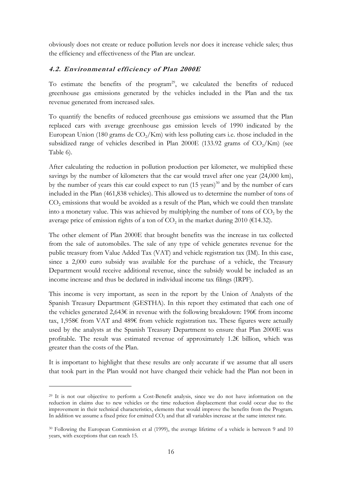obviously does not create or reduce pollution levels nor does it increase vehicle sales; thus the efficiency and effectiveness of the Plan are unclear.

# **4.2. Environmental efficiency of Plan 2000E**

To estimate the benefits of the program<sup>29</sup>, we calculated the benefits of reduced greenhouse gas emissions generated by the vehicles included in the Plan and the tax revenue generated from increased sales.

To quantify the benefits of reduced greenhouse gas emissions we assumed that the Plan replaced cars with average greenhouse gas emission levels of 1990 indicated by the European Union (180 grams de  $CO<sub>2</sub>/Km$ ) with less polluting cars i.e. those included in the subsidized range of vehicles described in Plan 2000E (133.92 grams of  $CO<sub>2</sub>/Km$ ) (see Table 6).

After calculating the reduction in pollution production per kilometer, we multiplied these savings by the number of kilometers that the car would travel after one year (24,000 km), by the number of years this car could expect to run  $(15 \text{ years})^{30}$  and by the number of cars included in the Plan (461,838 vehicles). This allowed us to determine the number of tons of CO<sub>2</sub> emissions that would be avoided as a result of the Plan, which we could then translate into a monetary value. This was achieved by multiplying the number of tons of  $CO<sub>2</sub>$  by the average price of emission rights of a ton of  $CO<sub>2</sub>$  in the market during 2010 (€14.32).

The other element of Plan 2000E that brought benefits was the increase in tax collected from the sale of automobiles. The sale of any type of vehicle generates revenue for the public treasury from Value Added Tax (VAT) and vehicle registration tax (IM). In this case, since a 2,000 euro subsidy was available for the purchase of a vehicle, the Treasury Department would receive additional revenue, since the subsidy would be included as an income increase and thus be declared in individual income tax filings (IRPF).

This income is very important, as seen in the report by the Union of Analysts of the Spanish Treasury Department (GESTHA). In this report they estimated that each one of the vehicles generated 2,643€ in revenue with the following breakdown: 196€ from income tax, 1,958€ from VAT and 489€ from vehicle registration tax. These figures were actually used by the analysts at the Spanish Treasury Department to ensure that Plan 2000E was profitable. The result was estimated revenue of approximately 1.2€ billion, which was greater than the costs of the Plan.

It is important to highlight that these results are only accurate if we assume that all users that took part in the Plan would not have changed their vehicle had the Plan not been in

<u>.</u>

<sup>&</sup>lt;sup>29</sup> It is not our objective to perform a Cost-Benefit analysis, since we do not have information on the reduction in claims due to new vehicles or the time reduction displacement that could occur due to the improvement in their technical characteristics, elements that would improve the benefits from the Program. In addition we assume a fixed price for emitted CO<sub>2</sub> and that all variables increase at the same interest rate.

<sup>30</sup> Following the European Commission et al (1999), the average lifetime of a vehicle is between 9 and 10 years, with exceptions that can reach 15.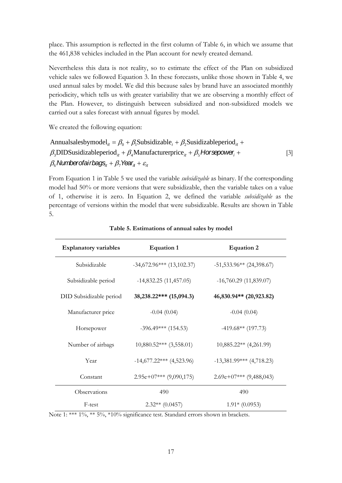place. This assumption is reflected in the first column of Table 6, in which we assume that the 461,838 vehicles included in the Plan account for newly created demand.

Nevertheless this data is not reality, so to estimate the effect of the Plan on subsidized vehicle sales we followed Equation 3. In these forecasts, unlike those shown in Table 4, we used annual sales by model. We did this because sales by brand have an associated monthly periodicity, which tells us with greater variability that we are observing a monthly effect of the Plan. However, to distinguish between subsidized and non-subsidized models we carried out a sales forecast with annual figures by model.

We created the following equation:

Annualsalesbymodel<sub>it</sub> =  $\beta_0 + \beta_1$ Subsidizable<sub>i</sub> +  $\beta_2$ Susidizableperiod<sub>it</sub> +  $\beta_3$ DIDSusidizableperiod<sub>it</sub> +  $\beta_4$ Manufacturerprice<sub>it</sub> +  $\beta_5$  **Horsepower**<sub>i</sub> +  $\beta_6$  Number of airbags<sub>it</sub> +  $\beta_7$  Year<sub>it</sub> +  $\varepsilon_{it}$ [3]

From Equation 1 in Table 5 we used the variable *subsidizable* as binary. If the corresponding model had 50% or more versions that were subsidizable, then the variable takes on a value of 1, otherwise it is zero. In Equation 2, we defined the variable *subsidizable* as the percentage of versions within the model that were subsidizable. Results are shown in Table 5.

| <b>Explanatory variables</b> | <b>Equation 1</b>           | <b>Equation 2</b>          |
|------------------------------|-----------------------------|----------------------------|
| Subsidizable                 | $-34,672.96***$ (13,102.37) | $-51,533.96**$ (24,398.67) |
| Subsidizable period          | $-14,832.25(11,457.05)$     | $-16,760.29(11,839.07)$    |
| DID Subsidizable period      | 38,238.22*** (15,094.3)     | 46,830.94** (20,923.82)    |
| Manufacturer price           | $-0.04(0.04)$               | $-0.04(0.04)$              |
| Horsepower                   | $-396.49***$ (154.53)       | $-419.68**$ (197.73)       |
| Number of airbags            | $10,880.52***$ (3,558.01)   | $10,885.22**$ (4,261.99)   |
| Year                         | $-14,677.22***$ (4,523.96)  | $-13,381.99***$ (4,718.23) |
| Constant                     | $2.95e+07***$ (9,090,175)   | $2.69e+07***$ (9,488,043)  |
| Observations                 | 490                         | 490                        |
| F-test                       | $2.32**$ (0.0457)           | $1.91*(0.0953)$            |

**Table 5. Estimations of annual sales by model**

Note 1: \*\*\* 1%, \*\* 5%, \*10% significance test. Standard errors shown in brackets.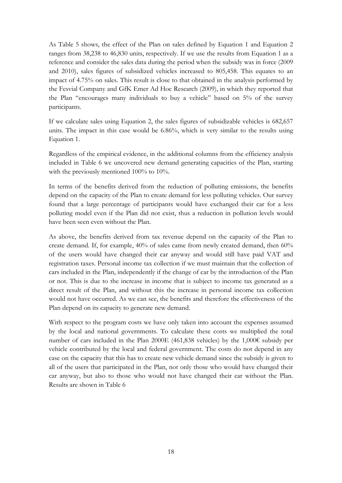As Table 5 shows, the effect of the Plan on sales defined by Equation 1 and Equation 2 ranges from 38,238 to 46,830 units, respectively. If we use the results from Equation 1 as a reference and consider the sales data during the period when the subsidy was in force (2009 and 2010), sales figures of subsidized vehicles increased to 805,458. This equates to an impact of 4.75% on sales. This result is close to that obtained in the analysis performed by the Fesvial Company and GfK Emer Ad Hoc Research (2009), in which they reported that the Plan "encourages many individuals to buy a vehicle" based on 5% of the survey participants.

If we calculate sales using Equation 2, the sales figures of subsidizable vehicles is 682,657 units. The impact in this case would be 6.86%, which is very similar to the results using Equation 1.

Regardless of the empirical evidence, in the additional columns from the efficiency analysis included in Table 6 we uncovered new demand generating capacities of the Plan, starting with the previously mentioned  $100\%$  to  $10\%$ .

In terms of the benefits derived from the reduction of polluting emissions, the benefits depend on the capacity of the Plan to create demand for less polluting vehicles. Our survey found that a large percentage of participants would have exchanged their car for a less polluting model even if the Plan did not exist, thus a reduction in pollution levels would have been seen even without the Plan.

As above, the benefits derived from tax revenue depend on the capacity of the Plan to create demand. If, for example, 40% of sales came from newly created demand, then 60% of the users would have changed their car anyway and would still have paid VAT and registration taxes. Personal income tax collection if we must maintain that the collection of cars included in the Plan, independently if the change of car by the introduction of the Plan or not. This is due to the increase in income that is subject to income tax generated as a direct result of the Plan, and without this the increase in personal income tax collection would not have occurred. As we can see, the benefits and therefore the effectiveness of the Plan depend on its capacity to generate new demand.

With respect to the program costs we have only taken into account the expenses assumed by the local and national governments. To calculate these costs we multiplied the total number of cars included in the Plan 2000E (461,838 vehicles) by the 1,000€ subsidy per vehicle contributed by the local and federal government. The costs do not depend in any case on the capacity that this has to create new vehicle demand since the subsidy is given to all of the users that participated in the Plan, not only those who would have changed their car anyway, but also to those who would not have changed their car without the Plan. Results are shown in Table 6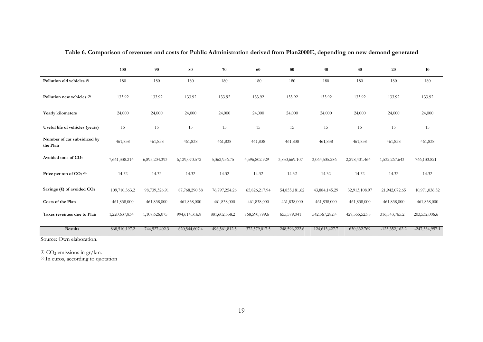|                                                   | 100           | 90            | 80            | 70               | 60            | 50            | 40            | 30              | 20               | 10               |
|---------------------------------------------------|---------------|---------------|---------------|------------------|---------------|---------------|---------------|-----------------|------------------|------------------|
| Pollution old vehicles <sup>(1)</sup>             | 180           | 180           | 180           | 180              | 180           | 180           | 180           | 180             | 180              | 180              |
| Pollution new vehicles <sup>(1)</sup>             | 133.92        | 133.92        | 133.92        | 133.92           | 133.92        | 133.92        | 133.92        | 133.92          | 133.92           | 133.92           |
| Yearly kilometers                                 | 24,000        | 24,000        | 24,000        | 24,000           | 24,000        | 24,000        | 24,000        | 24,000          | 24,000           | 24,000           |
| Useful life of vehicles (years)                   | 15            | 15            | 15            | 15               | 15            | 15            | 15            | 15              | 15               | 15               |
| Number of car subsidized by<br>the Plan           | 461,838       | 461,838       | 461,838       | 461,838          | 461,838       | 461,838       | 461,838       | 461,838         | 461,838          | 461,838          |
| Avoided tons of CO <sub>2</sub>                   | 7,661,338.214 | 6,895,204.393 | 6,129,070.572 | 5,362,936.75     | 4,596,802.929 | 3,830,669.107 | 3,064,535.286 | 2,298,401.464   | 1,532,267.643    | 766,133.821      |
| Price per ton of $CO2$ <sup>(2)</sup>             | 14.32         | 14.32         | 14.32         | 14.32            | 14.32         | 14.32         | 14.32         | 14.32           | 14.32            | 14.32            |
| Savings ( $\epsilon$ ) of avoided CO <sub>2</sub> | 109,710,363.2 | 98,739,326.91 | 87,768,290.58 | 76, 797, 254. 26 | 65,826,217.94 | 54,855,181.62 | 43,884,145.29 | 32,913,108.97   | 21,942,072.65    | 10,971,036.32    |
| Costs of the Plan                                 | 461,838,000   | 461,838,000   | 461,838,000   | 461,838,000      | 461,838,000   | 461,838,000   | 461,838,000   | 461,838,000     | 461,838,000      | 461,838,000      |
| Taxes revenues due to Plan                        | 1,220,637,834 | 1,107,626,075 | 994,614,316.8 | 881,602,558.2    | 768,590,799.6 | 655,579,041   | 542,567,282.4 | 429, 555, 523.8 | 316, 543, 765. 2 | 203,532,006.6    |
| Results                                           | 868,510,197.2 | 744,527,402.3 | 620,544,607.4 | 496,561,812.5    | 372,579,017.5 | 248,596,222.6 | 124,613,427.7 | 630, 632. 769   | $-123,352,162.2$ | $-247,334,957.1$ |

**Table 6. Comparison of revenues and costs for Public Administration derived from Plan2000E, depending on new demand generated**

Source: Own elaboration.

 $(1)$  CO<sub>2</sub> emissions in gr/km.

(2) In euros, according to quotation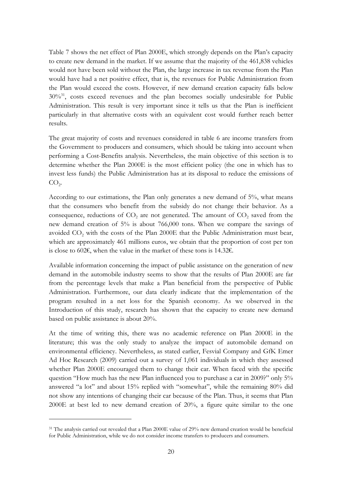Table 7 shows the net effect of Plan 2000E, which strongly depends on the Plan's capacity to create new demand in the market. If we assume that the majority of the 461,838 vehicles would not have been sold without the Plan, the large increase in tax revenue from the Plan would have had a net positive effect, that is, the revenues for Public Administration from the Plan would exceed the costs. However, if new demand creation capacity falls below  $30\%$ <sup>31</sup>, costs exceed revenues and the plan becomes socially undesirable for Public Administration. This result is very important since it tells us that the Plan is inefficient particularly in that alternative costs with an equivalent cost would further reach better results.

The great majority of costs and revenues considered in table 6 are income transfers from the Government to producers and consumers, which should be taking into account when performing a Cost-Benefits analysis. Nevertheless, the main objective of this section is to determine whether the Plan 2000E is the most efficient policy (the one in which has to invest less funds) the Public Administration has at its disposal to reduce the emissions of  $CO<sub>2</sub>$ .

According to our estimations, the Plan only generates a new demand of 5%, what means that the consumers who benefit from the subsidy do not change their behavior. As a consequence, reductions of  $CO<sub>2</sub>$  are not generated. The amount of  $CO<sub>2</sub>$  saved from the new demand creation of 5% is about 766,000 tons. When we compare the savings of avoided  $CO<sub>2</sub>$  with the costs of the Plan 2000E that the Public Administration must bear, which are approximately 461 millions euros, we obtain that the proportion of cost per ton is close to 602€, when the value in the market of these tons is 14.32€.

Available information concerning the impact of public assistance on the generation of new demand in the automobile industry seems to show that the results of Plan 2000E are far from the percentage levels that make a Plan beneficial from the perspective of Public Administration. Furthermore, our data clearly indicate that the implementation of the program resulted in a net loss for the Spanish economy. As we observed in the Introduction of this study, research has shown that the capacity to create new demand based on public assistance is about 20%.

At the time of writing this, there was no academic reference on Plan 2000E in the literature; this was the only study to analyze the impact of automobile demand on environmental efficiency. Nevertheless, as stated earlier, Fesvial Company and GfK Emer Ad Hoc Research (2009) carried out a survey of 1,061 individuals in which they assessed whether Plan 2000E encouraged them to change their car. When faced with the specific question "How much has the new Plan influenced you to purchase a car in 2009?" only 5% answered "a lot" and about 15% replied with "somewhat", while the remaining 80% did not show any intentions of changing their car because of the Plan. Thus, it seems that Plan 2000E at best led to new demand creation of 20%, a figure quite similar to the one

<u>.</u>

<sup>&</sup>lt;sup>31</sup> The analysis carried out revealed that a Plan 2000E value of 29% new demand creation would be beneficial for Public Administration, while we do not consider income transfers to producers and consumers.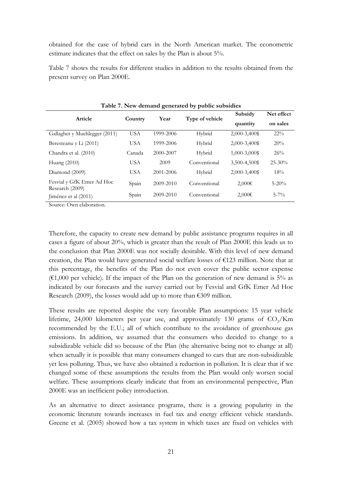obtained for the case of hybrid cars in the North American market. The econometric estimate indicates that the effect on sales by the Plan is about 5%.

Table 7 shows the results for different studies in addition to the results obtained from the present survey on Plan 2000E.

|                                              |            |           |                 | Subsidy       | Net effect  |
|----------------------------------------------|------------|-----------|-----------------|---------------|-------------|
| Article                                      | Country    | Year      | Type of vehicle | quantity      | on sales    |
| Gallagher y Muehlegger (2011)                | <b>USA</b> | 1999-2006 | Hybrid          | 2,000-3,400\$ | $22\%$      |
| Beresteanu y Li (2011)                       | <b>USA</b> | 1999-2006 | Hybrid          | 2,000-3,400\$ | 20%         |
| Chandra et al. (2010)                        | Canada     | 2000-2007 | Hybrid          | 1,000-3,000\$ | 26%         |
| Huang $(2010)$                               | <b>USA</b> | 2009      | Conventional    | 3,500-4,500\$ | $25 - 30\%$ |
| Diamond (2009)                               | <b>USA</b> | 2001-2006 | Hybrid          | 2,000-3,400\$ | 18%         |
| Fesvial y GfK Emer Ad Hoc<br>Research (2009) | Spain      | 2009-2010 | Conventional    | $2,000 \in$   | $5 - 20\%$  |
| Jiménez et al (2011)                         | Spain      | 2009-2010 | Conventional    | $2,000 \in$   | $5 - 7\%$   |

**Table 7. New demand generated by public subsidies** 

Source: Own elaboration.

Therefore, the capacity to create new demand by public assistance programs requires in all cases a figure of about 20%, which is greater than the result of Plan 2000E this leads us to the conclusion that Plan 2000E was not socially desirable. With this level of new demand creation, the Plan would have generated social welfare losses of €123 million. Note that at this percentage, the benefits of the Plan do not even cover the public sector expense  $(61,000)$  per vehicle). If the impact of the Plan on the generation of new demand is 5% as indicated by our forecasts and the survey carried out by Fesvial and GfK Emer Ad Hoc Research (2009), the losses would add up to more than  $\epsilon$ 309 million.

These results are reported despite the very favorable Plan assumptions: 15 year vehicle lifetime, 24,000 kilometers per year use, and approximately 130 grams of  $CO<sub>2</sub>/Km$ recommended by the E.U.; all of which contribute to the avoidance of greenhouse gas emissions. In addition, we assumed that the consumers who decided to change to a subsidizable vehicle did so because of the Plan (the alternative being not to change at all) when actually it is possible that many consumers changed to cars that are non-subsidizable yet less polluting. Thus, we have also obtained a reduction in pollution. It is clear that if we changed some of these assumptions the results from the Plan would only worsen social welfare. These assumptions clearly indicate that from an environmental perspective, Plan 2000E was an inefficient policy introduction.

As an alternative to direct assistance programs, there is a growing popularity in the economic literature towards increases in fuel tax and energy efficient vehicle standards. Greene et al. (2005) showed how a tax system in which taxes are fixed on vehicles with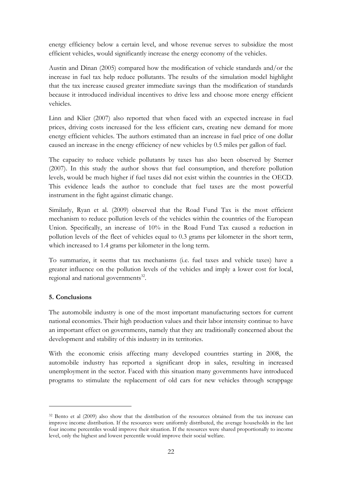energy efficiency below a certain level, and whose revenue serves to subsidize the most efficient vehicles, would significantly increase the energy economy of the vehicles.

Austin and Dinan (2005) compared how the modification of vehicle standards and/or the increase in fuel tax help reduce pollutants. The results of the simulation model highlight that the tax increase caused greater immediate savings than the modification of standards because it introduced individual incentives to drive less and choose more energy efficient vehicles.

Linn and Klier (2007) also reported that when faced with an expected increase in fuel prices, driving costs increased for the less efficient cars, creating new demand for more energy efficient vehicles. The authors estimated than an increase in fuel price of one dollar caused an increase in the energy efficiency of new vehicles by 0.5 miles per gallon of fuel.

The capacity to reduce vehicle pollutants by taxes has also been observed by Sterner (2007). In this study the author shows that fuel consumption, and therefore pollution levels, would be much higher if fuel taxes did not exist within the countries in the OECD. This evidence leads the author to conclude that fuel taxes are the most powerful instrument in the fight against climatic change.

Similarly, Ryan et al. (2009) observed that the Road Fund Tax is the most efficient mechanism to reduce pollution levels of the vehicles within the countries of the European Union. Specifically, an increase of 10% in the Road Fund Tax caused a reduction in pollution levels of the fleet of vehicles equal to 0.3 grams per kilometer in the short term, which increased to 1.4 grams per kilometer in the long term.

To summarize, it seems that tax mechanisms (i.e. fuel taxes and vehicle taxes) have a greater influence on the pollution levels of the vehicles and imply a lower cost for local, regional and national governments $32$ .

# **5. Conclusions**

<u>.</u>

The automobile industry is one of the most important manufacturing sectors for current national economies. Their high production values and their labor intensity continue to have an important effect on governments, namely that they are traditionally concerned about the development and stability of this industry in its territories.

With the economic crisis affecting many developed countries starting in 2008, the automobile industry has reported a significant drop in sales, resulting in increased unemployment in the sector. Faced with this situation many governments have introduced programs to stimulate the replacement of old cars for new vehicles through scrappage

<sup>&</sup>lt;sup>32</sup> Bento et al (2009) also show that the distribution of the resources obtained from the tax increase can improve income distribution. If the resources were uniformly distributed, the average households in the last four income percentiles would improve their situation. If the resources were shared proportionally to income level, only the highest and lowest percentile would improve their social welfare.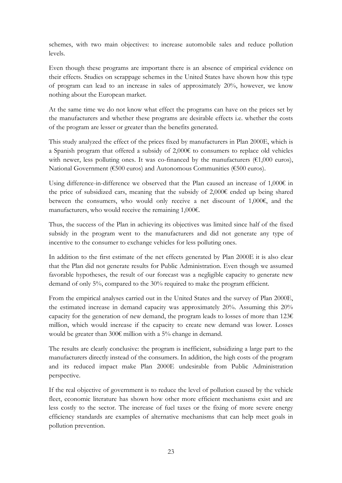schemes, with two main objectives: to increase automobile sales and reduce pollution levels.

Even though these programs are important there is an absence of empirical evidence on their effects. Studies on scrappage schemes in the United States have shown how this type of program can lead to an increase in sales of approximately 20%, however, we know nothing about the European market.

At the same time we do not know what effect the programs can have on the prices set by the manufacturers and whether these programs are desirable effects i.e. whether the costs of the program are lesser or greater than the benefits generated.

This study analyzed the effect of the prices fixed by manufacturers in Plan 2000E, which is a Spanish program that offered a subsidy of 2,000€ to consumers to replace old vehicles with newer, less polluting ones. It was co-financed by the manufacturers ( $\epsilon$ 1,000 euros), National Government (€500 euros) and Autonomous Communities (€500 euros).

Using difference-in-difference we observed that the Plan caused an increase of  $1,000\epsilon$  in the price of subsidized cars, meaning that the subsidy of  $2,000\epsilon$  ended up being shared between the consumers, who would only receive a net discount of 1,000€, and the manufacturers, who would receive the remaining 1,000€.

Thus, the success of the Plan in achieving its objectives was limited since half of the fixed subsidy in the program went to the manufacturers and did not generate any type of incentive to the consumer to exchange vehicles for less polluting ones.

In addition to the first estimate of the net effects generated by Plan 2000E it is also clear that the Plan did not generate results for Public Administration. Even though we assumed favorable hypotheses, the result of our forecast was a negligible capacity to generate new demand of only 5%, compared to the 30% required to make the program efficient.

From the empirical analyses carried out in the United States and the survey of Plan 2000E, the estimated increase in demand capacity was approximately 20%. Assuming this 20% capacity for the generation of new demand, the program leads to losses of more than  $1236$ million, which would increase if the capacity to create new demand was lower. Losses would be greater than 300€ million with a 5% change in demand.

The results are clearly conclusive: the program is inefficient, subsidizing a large part to the manufacturers directly instead of the consumers. In addition, the high costs of the program and its reduced impact make Plan 2000E undesirable from Public Administration perspective.

If the real objective of government is to reduce the level of pollution caused by the vehicle fleet, economic literature has shown how other more efficient mechanisms exist and are less costly to the sector. The increase of fuel taxes or the fixing of more severe energy efficiency standards are examples of alternative mechanisms that can help meet goals in pollution prevention.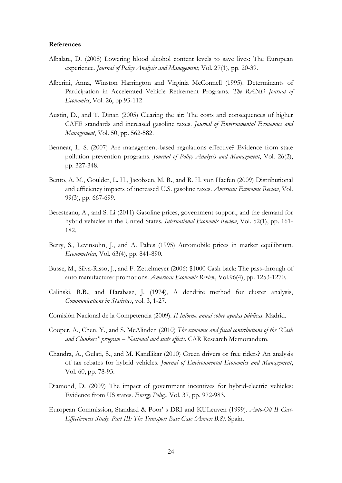## **References**

- Albalate, D. (2008) Lowering blood alcohol content levels to save lives: The European experience. *Journal of Policy Analysis and Management*, Vol. 27(1), pp. 20-39.
- Alberini, Anna, Winston Harrington and Virginia McConnell (1995). Determinants of Participation in Accelerated Vehicle Retirement Programs. *The RAND Journal of Economics*, Vol. 26, pp.93-112
- Austin, D., and T. Dinan (2005) Clearing the air: The costs and consequences of higher CAFE standards and increased gasoline taxes. *Journal of Environmental Economics and Management*, Vol. 50, pp. 562-582.
- Bennear, L. S. (2007) Are management-based regulations effective? Evidence from state pollution prevention programs. *Journal of Policy Analysis and Management*, Vol. 26(2), pp. 327-348.
- Bento, A. M., Goulder, L. H., Jacobsen, M. R., and R. H. von Haefen (2009) Distributional and efficiency impacts of increased U.S. gasoline taxes. *American Economic Review*, Vol. 99(3), pp. 667-699.
- Beresteanu, A., and S. Li (2011) Gasoline prices, government support, and the demand for hybrid vehicles in the United States. *International Economic Review*, Vol. 52(1), pp. 161- 182.
- Berry, S., Levinsohn, J., and A. Pakes (1995) Automobile prices in market equilibrium. *Econometrica*, Vol. 63(4), pp. 841-890.
- Busse, M., Silva-Risso, J., and F. Zettelmeyer (2006) \$1000 Cash back: The pass-through of auto manufacturer promotions. *American Economic Review*, Vol.96(4), pp. 1253-1270.
- Calinski, R.B., and Harabasz, J. (1974), A dendrite method for cluster analysis, *Communications in Statistics*, vol. 3, 1-27.
- Comisión Nacional de la Competencia (2009). *II Informe anual sobre ayudas públicas*. Madrid.
- Cooper, A., Chen, Y., and S. McAlinden (2010) *The economic and fiscal contributions of the "Cash and Clunkers" program – National and state effects*. CAR Research Memorandum.
- Chandra, A., Gulati, S., and M. Kandlikar (2010) Green drivers or free riders? An analysis of tax rebates for hybrid vehicles. *Journal of Environmental Economics and Management*, Vol. 60, pp. 78-93.
- Diamond, D. (2009) The impact of government incentives for hybrid-electric vehicles: Evidence from US states. *Energy Policy*, Vol. 37, pp. 972-983.
- European Commission, Standard & Poor' s DRI and KULeuven (1999). *Auto-Oil II Cost-Effectiveness Study. Part III: The Transport Base Case (Annex B.8)*. Spain.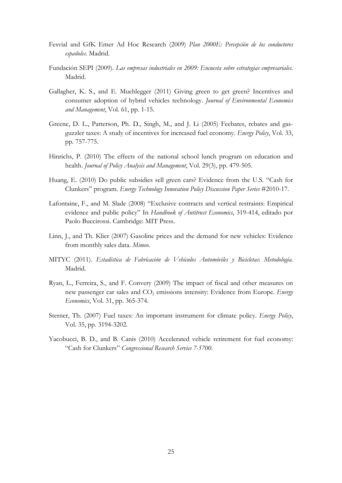- Fesvial and GfK Emer Ad Hoc Research (2009) *Plan 2000E: Percepción de los conductores españoles*. Madrid.
- Fundación SEPI (2009). *Las empresas industriales en 2009: Encuesta sobre estrategias empresariales.* Madrid.
- Gallagher, K. S., and E. Muehlegger (2011) Giving green to get green? Incentives and consumer adoption of hybrid vehicles technology. *Journal of Environmental Economics and Management*, Vol. 61, pp. 1-15.
- Greene, D. L., Patterson, Ph. D., Singh, M., and J. Li (2005) Feebates, rebates and gasguzzler taxes: A study of incentives for increased fuel economy. *Energy Policy*, Vol. 33, pp. 757-775.
- Hinrichs, P. (2010) The effects of the national school lunch program on education and health. *Journal of Policy Analysis and Management*, Vol. 29(3), pp. 479-505.
- Huang, E. (2010) Do public subsidies sell green cars? Evidence from the U.S. "Cash for Clunkers" program. *Energy Technology Innovation Policy Discussion Paper Series* #2010-17.
- Lafontaine, F., and M. Slade (2008) "Exclusive contracts and vertical restraints: Empirical evidence and public policy" In *Handbook of Antitrust Economics*, 319-414, editado por Paolo Buccirossi. Cambridge: MIT Press.
- Linn, J., and Th. Klier (2007) Gasoline prices and the demand for new vehicles: Evidence from monthly sales data. *Mimeo*.
- MITYC (2011). *Estadística de Fabricación de Vehículos Automóviles y Bicicletas*: *Metodología.*  Madrid.
- Ryan, L., Ferreira, S., and F. Convery (2009) The impact of fiscal and other measures on new passenger car sales and CO<sub>2</sub> emissions intensity: Evidence from Europe. *Energy Economics*, Vol. 31, pp. 365-374.
- Sterner, Th. (2007) Fuel taxes: An important instrument for climate policy. *Energy Policy*, Vol. 35, pp. 3194-3202.
- Yacobucci, B. D., and B. Canis (2010) Accelerated vehicle retirement for fuel economy: "Cash for Clunkers" *Congressional Research Service 7-5700*.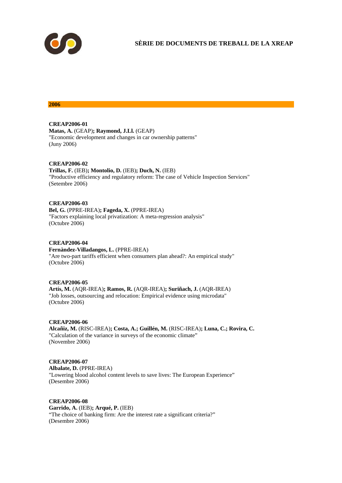

**SÈRIE DE DOCUMENTS DE TREBALL DE LA XREAP** 

#### **2006**

**CREAP2006-01 Matas, A.** (GEAP)**; Raymond, J.Ll.** (GEAP) "Economic development and changes in car ownership patterns" (Juny 2006)

#### **CREAP2006-02**

**Trillas, F.** (IEB)**; Montolio, D.** (IEB)**; Duch, N.** (IEB) "Productive efficiency and regulatory reform: The case of Vehicle Inspection Services" (Setembre 2006)

## **CREAP2006-03**

**Bel, G.** (PPRE-IREA)**; Fageda, X.** (PPRE-IREA) "Factors explaining local privatization: A meta-regression analysis" (Octubre 2006)

## **CREAP2006-04**

**Fernàndez-Villadangos, L.** (PPRE-IREA) "Are two-part tariffs efficient when consumers plan ahead?: An empirical study" (Octubre 2006)

## **CREAP2006-05**

**Artís, M.** (AQR-IREA)**; Ramos, R.** (AQR-IREA)**; Suriñach, J.** (AQR-IREA) "Job losses, outsourcing and relocation: Empirical evidence using microdata" (Octubre 2006)

# **CREAP2006-06**

**Alcañiz, M.** (RISC-IREA)**; Costa, A.; Guillén, M.** (RISC-IREA)**; Luna, C.; Rovira, C.**  "Calculation of the variance in surveys of the economic climate" (Novembre 2006)

## **CREAP2006-07**

**Albalate, D.** (PPRE-IREA) "Lowering blood alcohol content levels to save lives: The European Experience" (Desembre 2006)

# **CREAP2006-08**

**Garrido, A.** (IEB)**; Arqué, P.** (IEB) "The choice of banking firm: Are the interest rate a significant criteria?" (Desembre 2006)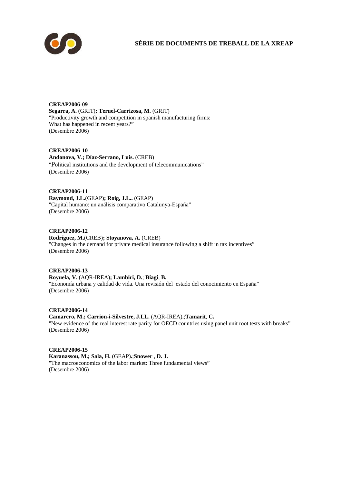

# **SÈRIE DE DOCUMENTS DE TREBALL DE LA XREAP**

**CREAP2006-09 Segarra, A.** (GRIT)**; Teruel-Carrizosa, M.** (GRIT) "Productivity growth and competition in spanish manufacturing firms: What has happened in recent years?" (Desembre 2006)

**CREAP2006-10 Andonova, V.; Díaz-Serrano, Luis.** (CREB) "Political institutions and the development of telecommunications" (Desembre 2006)

**CREAP2006-11 Raymond, J.L.**(GEAP)**; Roig, J.L..** (GEAP) "Capital humano: un análisis comparativo Catalunya-España" (Desembre 2006)

**CREAP2006-12 Rodríguez, M.**(CREB)**; Stoyanova, A.** (CREB) "Changes in the demand for private medical insurance following a shift in tax incentives" (Desembre 2006)

**CREAP2006-13 Royuela, V.** (AQR-IREA)**; Lambiri, D.**; **Biagi**, **B.**  "Economía urbana y calidad de vida. Una revisión del estado del conocimiento en España" (Desembre 2006)

**CREAP2006-14 Camarero, M.; Carrion-i-Silvestre, J.LL.** (AQR-IREA)**.**;**Tamarit**, **C.**  "New evidence of the real interest rate parity for OECD countries using panel unit root tests with breaks" (Desembre 2006)

**CREAP2006-15 Karanassou, M.; Sala, H.** (GEAP)**.**;**Snower** , **D. J.**  "The macroeconomics of the labor market: Three fundamental views" (Desembre 2006)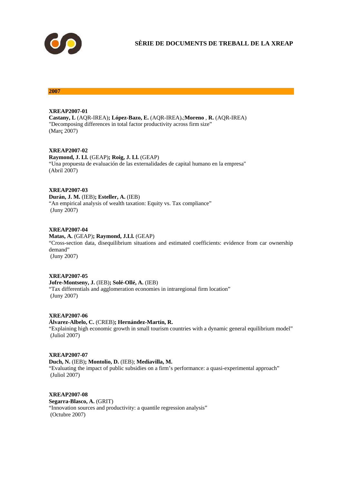

#### **2007**

#### **XREAP2007-01**

**Castany, L** (AQR-IREA)**; López-Bazo, E.** (AQR-IREA)**.**;**Moreno** , **R.** (AQR-IREA) "Decomposing differences in total factor productivity across firm size" (Març 2007)

#### **XREAP2007-02**

**Raymond, J. Ll.** (GEAP)**; Roig, J. Ll.** (GEAP) "Una propuesta de evaluación de las externalidades de capital humano en la empresa" (Abril 2007)

#### **XREAP2007-03**

**Durán, J. M.** (IEB)**; Esteller, A.** (IEB) "An empirical analysis of wealth taxation: Equity vs. Tax compliance" (Juny 2007)

#### **XREAP2007-04**

**Matas, A.** (GEAP)**; Raymond, J.Ll.** (GEAP) "Cross-section data, disequilibrium situations and estimated coefficients: evidence from car ownership demand" (Juny 2007)

## **XREAP2007-05**

**Jofre-Montseny, J.** (IEB)**; Solé-Ollé, A.** (IEB) "Tax differentials and agglomeration economies in intraregional firm location" (Juny 2007)

#### **XREAP2007-06**

#### **Álvarez-Albelo, C.** (CREB)**; Hernández-Martín, R.**

"Explaining high economic growth in small tourism countries with a dynamic general equilibrium model" (Juliol 2007)

#### **XREAP2007-07**

## **Duch, N.** (IEB)**; Montolio, D.** (IEB); **Mediavilla, M.**

"Evaluating the impact of public subsidies on a firm's performance: a quasi-experimental approach" (Juliol 2007)

#### **XREAP2007-08**

**Segarra-Blasco, A.** (GRIT) "Innovation sources and productivity: a quantile regression analysis" (Octubre 2007)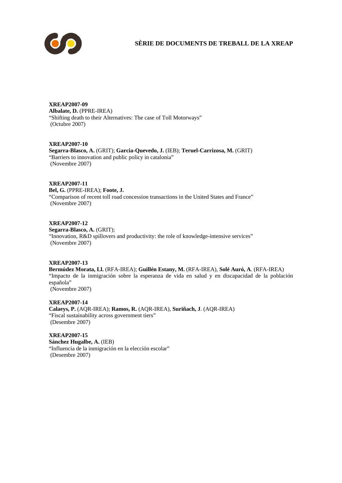

**SÈRIE DE DOCUMENTS DE TREBALL DE LA XREAP** 

**XREAP2007-09** 

**Albalate, D.** (PPRE-IREA)

"Shifting death to their Alternatives: The case of Toll Motorways" (Octubre 2007)

**XREAP2007-10** 

**Segarra-Blasco, A.** (GRIT); **Garcia-Quevedo, J.** (IEB); **Teruel-Carrizosa, M.** (GRIT) "Barriers to innovation and public policy in catalonia" (Novembre 2007)

**XREAP2007-11 Bel, G.** (PPRE-IREA); **Foote, J.** "Comparison of recent toll road concession transactions in the United States and France" (Novembre 2007)

**XREAP2007-12 Segarra-Blasco, A.** (GRIT); "Innovation, R&D spillovers and productivity: the role of knowledge-intensive services" (Novembre 2007)

# **XREAP2007-13**

**Bermúdez Morata, Ll.** (RFA-IREA); **Guillén Estany, M.** (RFA-IREA), **Solé Auró, A**. (RFA-IREA) "Impacto de la inmigración sobre la esperanza de vida en salud y en discapacidad de la población española"

(Novembre 2007)

**XREAP2007-14 Calaeys, P.** (AQR-IREA); **Ramos, R.** (AQR-IREA), **Suriñach, J**. (AQR-IREA) "Fiscal sustainability across government tiers" (Desembre 2007)

**XREAP2007-15 Sánchez Hugalbe, A.** (IEB) "Influencia de la inmigración en la elección escolar" (Desembre 2007)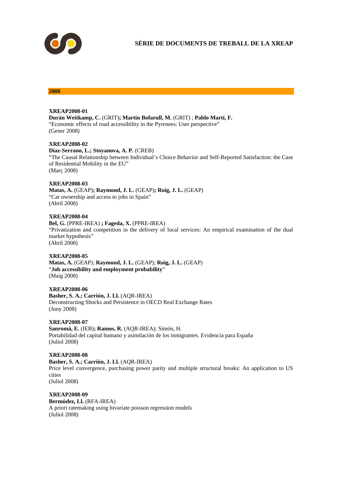

#### **2008**

#### **XREAP2008-01**

**Durán Weitkamp, C.** (GRIT)**; Martín Bofarull, M.** (GRIT) ; **Pablo Martí, F.** "Economic effects of road accessibility in the Pyrenees: User perspective" (Gener 2008)

#### **XREAP2008-02**

#### **Díaz-Serrano, L.; Stoyanova, A. P.** (CREB)

"The Causal Relationship between Individual's Choice Behavior and Self-Reported Satisfaction: the Case of Residential Mobility in the EU" (Març 2008)

#### **XREAP2008-03**

**Matas, A.** (GEAP)**; Raymond, J. L.** (GEAP)**; Roig, J. L.** (GEAP) "Car ownership and access to jobs in Spain" (Abril 2008)

#### **XREAP2008-04**

**Bel, G.** (PPRE-IREA) **; Fageda, X.** (PPRE-IREA) "Privatization and competition in the delivery of local services: An empirical examination of the dual market hypothesis" (Abril 2008)

## **XREAP2008-05**

**Matas, A.** (GEAP); **Raymond, J. L.** (GEAP); **Roig, J. L.** (GEAP) "**Job accessibility and employment probability**" (Maig 2008)

#### **XREAP2008-06**

**Basher, S. A.; Carrión, J. Ll.** (AQR-IREA) Deconstructing Shocks and Persistence in OECD Real Exchange Rates (Juny 2008)

## **XREAP2008-07**

**Sanromá, E.** (IEB)**; Ramos, R.** (AQR-IREA); Simón, H. Portabilidad del capital humano y asimilación de los inmigrantes. Evidencia para España (Juliol 2008)

#### **XREAP2008-08 Basher, S. A.; Carrión, J. Ll.** (AQR-IREA) Price level convergence, purchasing power parity and multiple structural breaks: An application to US cities (Juliol 2008)

**XREAP2008-09 Bermúdez, Ll.** (RFA-IREA) A priori ratemaking using bivariate poisson regression models (Juliol 2008)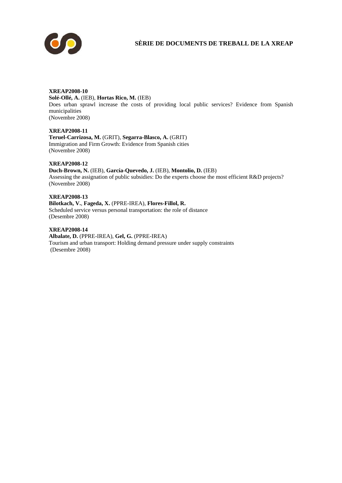

# **SÈRIE DE DOCUMENTS DE TREBALL DE LA XREAP**

# **XREAP2008-10 Solé-Ollé, A.** (IEB), **Hortas Rico, M.** (IEB) Does urban sprawl increase the costs of providing local public services? Evidence from Spanish municipalities (Novembre 2008)

**XREAP2008-11 Teruel-Carrizosa, M.** (GRIT), **Segarra-Blasco, A.** (GRIT) Immigration and Firm Growth: Evidence from Spanish cities (Novembre 2008)

## **XREAP2008-12**

**Duch-Brown, N.** (IEB), **García-Quevedo, J.** (IEB), **Montolio, D.** (IEB) Assessing the assignation of public subsidies: Do the experts choose the most efficient R&D projects? (Novembre 2008)

**XREAP2008-13 Bilotkach, V.**, **Fageda, X.** (PPRE-IREA), **Flores-Fillol, R.**  Scheduled service versus personal transportation: the role of distance (Desembre 2008)

**XREAP2008-14 Albalate, D.** (PPRE-IREA), **Gel, G.** (PPRE-IREA) Tourism and urban transport: Holding demand pressure under supply constraints (Desembre 2008)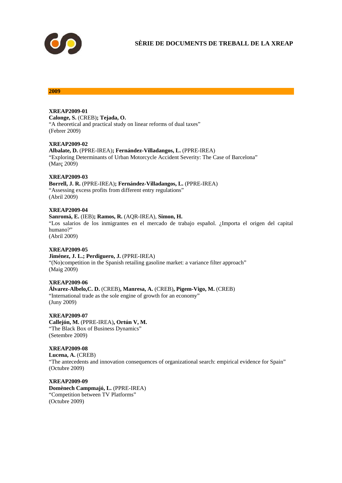

#### **2009**

**XREAP2009-01** 

**Calonge, S.** (CREB)**; Tejada, O.** "A theoretical and practical study on linear reforms of dual taxes" (Febrer 2009)

#### **XREAP2009-02**

**Albalate, D.** (PPRE-IREA)**; Fernández-Villadangos, L.** (PPRE-IREA) "Exploring Determinants of Urban Motorcycle Accident Severity: The Case of Barcelona" (Març 2009)

#### **XREAP2009-03**

**Borrell, J. R.** (PPRE-IREA)**; Fernández-Villadangos, L.** (PPRE-IREA) "Assessing excess profits from different entry regulations" (Abril 2009)

#### **XREAP2009-04 Sanromá, E.** (IEB)**; Ramos, R.** (AQR-IREA), **Simon, H.**  "Los salarios de los inmigrantes en el mercado de trabajo español. ¿Importa el origen del capital humano?" (Abril 2009)

**XREAP2009-05**  Jiménez, J. L.; Perdiguero, J. (PPRE-IREA) "(No)competition in the Spanish retailing gasoline market: a variance filter approach" (Maig 2009)

**XREAP2009-06 Álvarez-Albelo,C. D.** (CREB)**, Manresa, A.** (CREB)**, Pigem-Vigo, M.** (CREB) "International trade as the sole engine of growth for an economy" (Juny 2009)

**XREAP2009-07 Callejón, M.** (PPRE-IREA)**, Ortún V, M.**  "The Black Box of Business Dynamics" (Setembre 2009)

**XREAP2009-08**  Lucena, A. (CREB) "The antecedents and innovation consequences of organizational search: empirical evidence for Spain" (Octubre 2009)

**XREAP2009-09 Domènech Campmajó, L.** (PPRE-IREA) "Competition between TV Platforms" (Octubre 2009)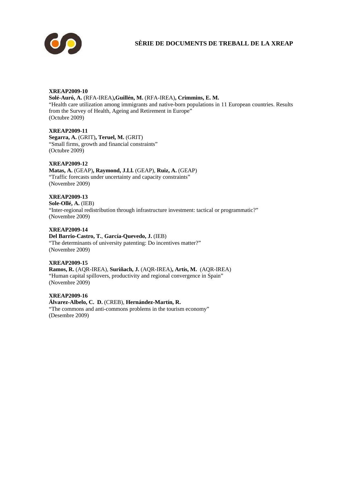

# **SÈRIE DE DOCUMENTS DE TREBALL DE LA XREAP**

## **XREAP2009-10**

**Solé-Auró, A.** (RFA-IREA)**,Guillén, M.** (RFA-IREA)**, Crimmins, E. M.**  "Health care utilization among immigrants and native-born populations in 11 European countries. Results from the Survey of Health, Ageing and Retirement in Europe" (Octubre 2009)

**XREAP2009-11 Segarra, A.** (GRIT)**, Teruel, M.** (GRIT) "Small firms, growth and financial constraints"

## **XREAP2009-12**

(Octubre 2009)

**Matas, A.** (GEAP)**, Raymond, J.Ll.** (GEAP), **Ruiz, A.** (GEAP) "Traffic forecasts under uncertainty and capacity constraints" (Novembre 2009)

**XREAP2009-13 Sole-Ollé, A.** (IEB) "Inter-regional redistribution through infrastructure investment: tactical or programmatic?" (Novembre 2009)

**XREAP2009-14 Del Barrio-Castro, T.**, **García-Quevedo, J.** (IEB) "The determinants of university patenting: Do incentives matter?" (Novembre 2009)

# **XREAP2009-15**

**Ramos, R.** (AQR-IREA), **Suriñach, J.** (AQR-IREA)**, Artís, M.** (AQR-IREA) "Human capital spillovers, productivity and regional convergence in Spain" (Novembre 2009)

**XREAP2009-16 Álvarez-Albelo, C. D.** (CREB), **Hernández-Martín, R.** "The commons and anti-commons problems in the tourism economy" (Desembre 2009)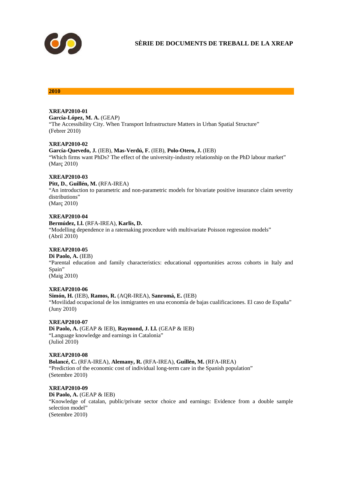

#### **2010**

# **XREAP2010-01**

**García-López, M. A.** (GEAP) "The Accessibility City. When Transport Infrastructure Matters in Urban Spatial Structure" (Febrer 2010)

#### **XREAP2010-02**

**García-Quevedo, J.** (IEB), **Mas-Verdú, F.** (IEB), **Polo-Otero, J.** (IEB) "Which firms want PhDs? The effect of the university-industry relationship on the PhD labour market" (Març 2010)

## **XREAP2010-03**

**Pitt, D.**, **Guillén, M.** (RFA-IREA) "An introduction to parametric and non-parametric models for bivariate positive insurance claim severity distributions"

(Març 2010)

## **XREAP2010-04**

**Bermúdez, Ll.** (RFA-IREA), **Karlis, D.** "Modelling dependence in a ratemaking procedure with multivariate Poisson regression models" (Abril 2010)

## **XREAP2010-05**

**Di Paolo, A.** (IEB) "Parental education and family characteristics: educational opportunities across cohorts in Italy and Spain" (Maig 2010)

## **XREAP2010-06**

## **Simón, H.** (IEB), **Ramos, R.** (AQR-IREA), **Sanromá, E.** (IEB) "Movilidad ocupacional de los inmigrantes en una economía de bajas cualificaciones. El caso de España"

## **XREAP2010-07**

(Juny 2010)

**Di Paolo, A.** (GEAP & IEB), **Raymond, J. Ll.** (GEAP & IEB) "Language knowledge and earnings in Catalonia" (Juliol 2010)

## **XREAP2010-08**

**Bolancé, C.** (RFA-IREA), **Alemany, R.** (RFA-IREA), **Guillén, M.** (RFA-IREA) "Prediction of the economic cost of individual long-term care in the Spanish population" (Setembre 2010)

## **XREAP2010-09**

**Di Paolo, A.** (GEAP & IEB) "Knowledge of catalan, public/private sector choice and earnings: Evidence from a double sample selection model" (Setembre 2010)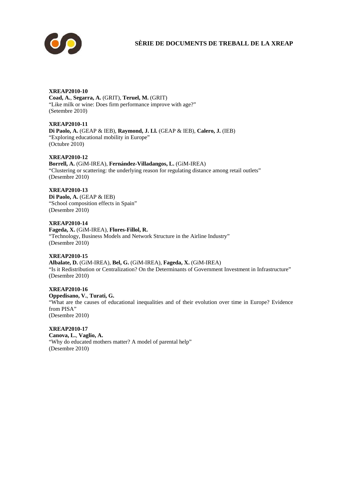

# **SÈRIE DE DOCUMENTS DE TREBALL DE LA XREAP**

## **XREAP2010-10**

**Coad, A.**, **Segarra, A.** (GRIT), **Teruel, M.** (GRIT) "Like milk or wine: Does firm performance improve with age?" (Setembre 2010)

**XREAP2010-11 Di Paolo, A.** (GEAP & IEB), **Raymond, J. Ll.** (GEAP & IEB), **Calero, J.** (IEB) "Exploring educational mobility in Europe" (Octubre 2010)

# **XREAP2010-12**

**Borrell, A.** (GiM-IREA), **Fernández-Villadangos, L.** (GiM-IREA) "Clustering or scattering: the underlying reason for regulating distance among retail outlets" (Desembre 2010)

**XREAP2010-13** 

**Di Paolo, A.** (GEAP & IEB) "School composition effects in Spain" (Desembre 2010)

**XREAP2010-14 Fageda, X.** (GiM-IREA), **Flores-Fillol, R.** "Technology, Business Models and Network Structure in the Airline Industry" (Desembre 2010)

# **XREAP2010-15**

**Albalate, D.** (GiM-IREA), **Bel, G.** (GiM-IREA), **Fageda, X.** (GiM-IREA) "Is it Redistribution or Centralization? On the Determinants of Government Investment in Infrastructure" (Desembre 2010)

**XREAP2010-16 Oppedisano, V.**, **Turati, G.** "What are the causes of educational inequalities and of their evolution over time in Europe? Evidence from PISA" (Desembre 2010)

**XREAP2010-17 Canova, L.**, **Vaglio, A.**

"Why do educated mothers matter? A model of parental help" (Desembre 2010)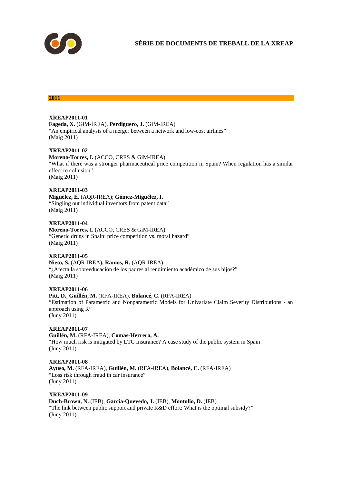

## **2011**

## **XREAP2011-01**

**Fageda, X.** (GiM-IREA), **Perdiguero, J.** (GiM-IREA) "An empirical analysis of a merger between a network and low-cost airlines" (Maig 2011)

## **XREAP2011-02**

**Moreno-Torres, I.** (ACCO, CRES & GiM-IREA) "What if there was a stronger pharmaceutical price competition in Spain? When regulation has a similar effect to collusion" (Maig 2011)

## **XREAP2011-03**

**Miguélez, E.** (AQR-IREA); **Gómez-Miguélez, I.** "Singling out individual inventors from patent data" (Maig 2011)

## **XREAP2011-04**

**Moreno-Torres, I.** (ACCO, CRES & GiM-IREA) "Generic drugs in Spain: price competition vs. moral hazard" (Maig 2011)

## **XREAP2011-05**

**Nieto, S.** (AQR-IREA)**, Ramos, R.** (AQR-IREA) "¿Afecta la sobreeducación de los padres al rendimiento académico de sus hijos?" (Maig 2011)

## **XREAP2011-06**

#### **Pitt, D.**, **Guillén, M.** (RFA-IREA), **Bolancé, C.** (RFA-IREA)

"Estimation of Parametric and Nonparametric Models for Univariate Claim Severity Distributions - an approach using R" (Juny 2011)

## **XREAP2011-07**

**Guillén, M.** (RFA-IREA), **Comas-Herrera, A.**

"How much risk is mitigated by LTC Insurance? A case study of the public system in Spain" (Juny 2011)

# **XREAP2011-08**

**Ayuso, M.** (RFA-IREA), **Guillén, M.** (RFA-IREA), **Bolancé, C.** (RFA-IREA) "Loss risk through fraud in car insurance" (Juny 2011)

# **XREAP2011-09**

**Duch-Brown, N.** (IEB), **García-Quevedo, J.** (IEB), **Montolio, D.** (IEB)

"The link between public support and private R&D effort: What is the optimal subsidy?" (Juny 2011)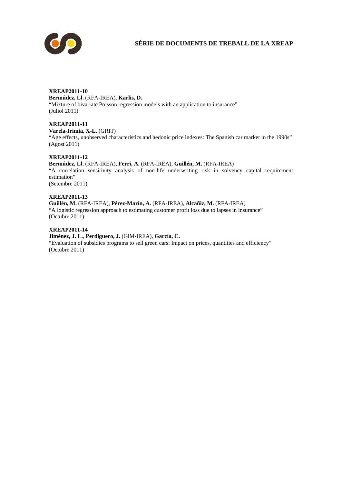

# **XREAP2011-10**

**Bermúdez, Ll.** (RFA-IREA), **Karlis, D.**  "Mixture of bivariate Poisson regression models with an application to insurance" (Juliol 2011)

# **XREAP2011-11**

**Varela-Irimia, X-L.** (GRIT)

"Age effects, unobserved characteristics and hedonic price indexes: The Spanish car market in the 1990s" (Agost 2011)

# **XREAP2011-12**

**Bermúdez, Ll.** (RFA-IREA), **Ferri, A.** (RFA-IREA), **Guillén, M.** (RFA-IREA) "A correlation sensitivity analysis of non-life underwriting risk in solvency capital requirement estimation" (Setembre 2011)

## **XREAP2011-13**

**Guillén, M.** (RFA-IREA), **Pérez-Marín, A.** (RFA-IREA), **Alcañiz, M.** (RFA-IREA) "A logistic regression approach to estimating customer profit loss due to lapses in insurance" (Octubre 2011)

## **XREAP2011-14**

**Jiménez, J. L.**, **Perdiguero, J.** (GiM-IREA), **García, C.**  "Evaluation of subsidies programs to sell green cars: Impact on prices, quantities and efficiency" (Octubre 2011)